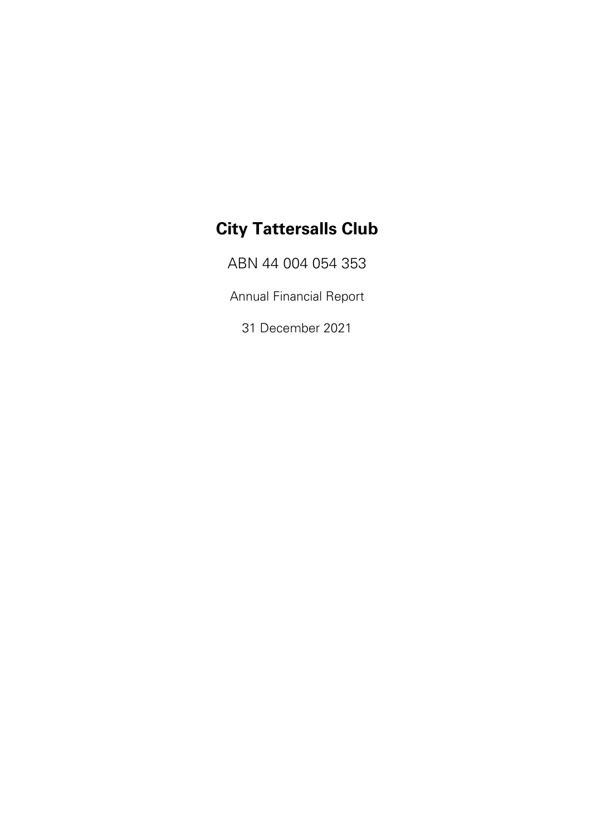ABN 44 004 054 353

Annual Financial Report

31 December 2021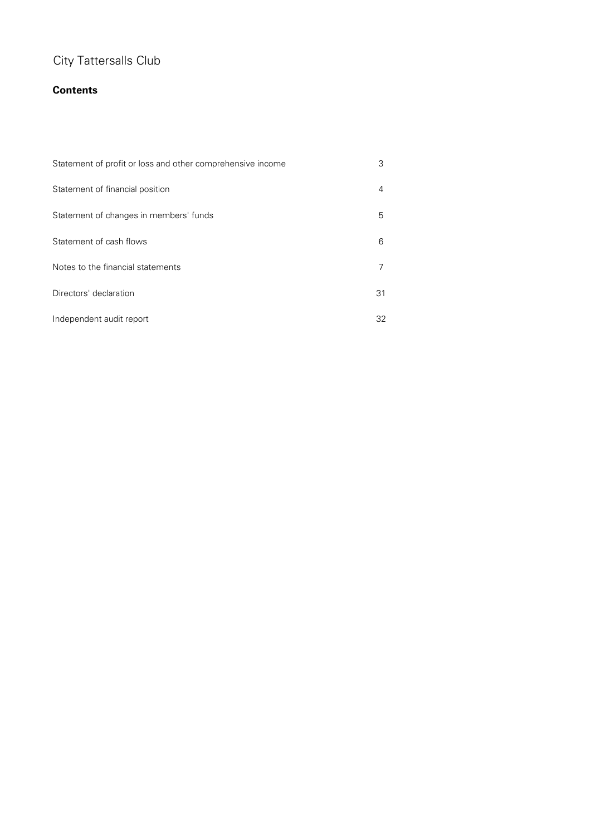## **Contents**

| Statement of profit or loss and other comprehensive income | 3  |
|------------------------------------------------------------|----|
| Statement of financial position                            | 4  |
| Statement of changes in members' funds                     | 5  |
| Statement of cash flows                                    | 6  |
| Notes to the financial statements                          |    |
| Directors' declaration                                     | 31 |
| Independent audit report                                   | 32 |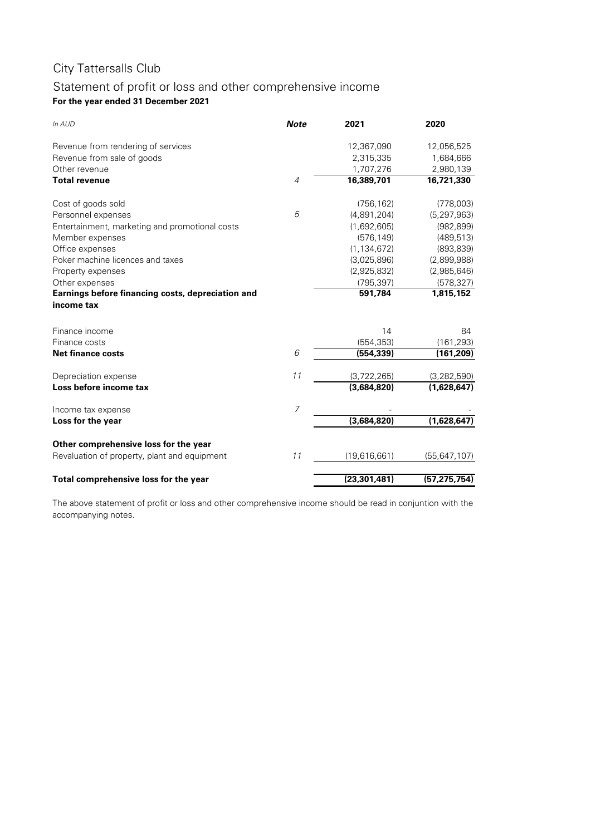## **For the year ended 31 December 2021** Statement of profit or loss and other comprehensive income

| In AUD                                            | <b>Note</b>    | 2021           | 2020           |
|---------------------------------------------------|----------------|----------------|----------------|
| Revenue from rendering of services                |                | 12,367,090     | 12,056,525     |
| Revenue from sale of goods                        |                | 2,315,335      | 1,684,666      |
| Other revenue                                     |                | 1,707,276      | 2,980,139      |
| <b>Total revenue</b>                              | $\overline{4}$ | 16,389,701     | 16,721,330     |
| Cost of goods sold                                |                | (756, 162)     | (778,003)      |
| Personnel expenses                                | 5              | (4,891,204)    | (5, 297, 963)  |
| Entertainment, marketing and promotional costs    |                | (1,692,605)    | (982, 899)     |
| Member expenses                                   |                | (576, 149)     | (489, 513)     |
| Office expenses                                   |                | (1, 134, 672)  | (893, 839)     |
| Poker machine licences and taxes                  |                | (3,025,896)    | (2,899,988)    |
| Property expenses                                 |                | (2,925,832)    | (2,985,646)    |
| Other expenses                                    |                | (795, 397)     | (578, 327)     |
| Earnings before financing costs, depreciation and |                | 591,784        | 1,815,152      |
| income tax                                        |                |                |                |
| Finance income                                    |                | 14             | 84             |
| Finance costs                                     |                | (554, 353)     | (161, 293)     |
| <b>Net finance costs</b>                          | 6              | (554, 339)     | (161, 209)     |
| Depreciation expense                              | 11             | (3,722,265)    | (3, 282, 590)  |
| Loss before income tax                            |                | (3,684,820)    | (1,628,647)    |
| Income tax expense                                | $\overline{7}$ |                |                |
| Loss for the year                                 |                | (3,684,820)    | (1,628,647)    |
| Other comprehensive loss for the year             |                |                |                |
| Revaluation of property, plant and equipment      | 11             | (19,616,661)   | (55, 647, 107) |
| Total comprehensive loss for the year             |                | (23, 301, 481) | (57, 275, 754) |

The above statement of profit or loss and other comprehensive income should be read in conjuntion with the accompanying notes.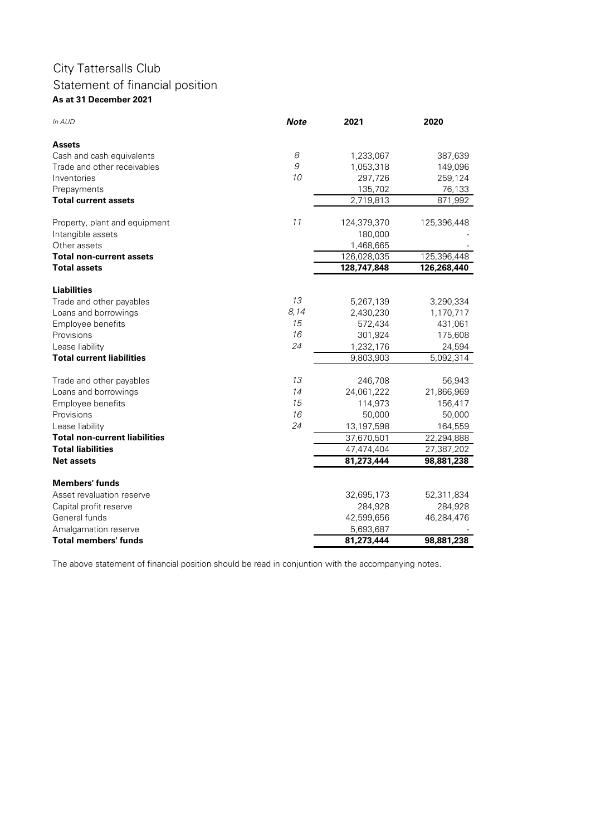## **As at 31 December 2021** City Tattersalls Club Statement of financial position

| In AUD                               | <b>Note</b> | 2021        | 2020        |
|--------------------------------------|-------------|-------------|-------------|
| Assets                               |             |             |             |
| Cash and cash equivalents            | 8           | 1,233,067   | 387,639     |
| Trade and other receivables          | 9           | 1,053,318   | 149,096     |
| Inventories                          | 10          | 297,726     | 259,124     |
| Prepayments                          |             | 135,702     | 76,133      |
| <b>Total current assets</b>          |             | 2,719,813   | 871,992     |
| Property, plant and equipment        | 11          | 124,379,370 | 125,396,448 |
| Intangible assets                    |             | 180,000     |             |
| Other assets                         |             | 1,468,665   |             |
| <b>Total non-current assets</b>      |             | 126,028,035 | 125,396,448 |
| <b>Total assets</b>                  |             | 128,747,848 | 126,268,440 |
| <b>Liabilities</b>                   |             |             |             |
| Trade and other payables             | 13          | 5,267,139   | 3,290,334   |
| Loans and borrowings                 | 8,14        | 2,430,230   | 1,170,717   |
| Employee benefits                    | 15          | 572,434     | 431,061     |
| Provisions                           | 16          | 301,924     | 175,608     |
| Lease liability                      | 24          | 1,232,176   | 24,594      |
| <b>Total current liabilities</b>     |             | 9,803,903   | 5,092,314   |
| Trade and other payables             | 13          | 246,708     | 56,943      |
| Loans and borrowings                 | 14          | 24,061,222  | 21,866,969  |
| Employee benefits                    | 15          | 114,973     | 156,417     |
| Provisions                           | 16          | 50,000      | 50,000      |
| Lease liability                      | 24          | 13,197,598  | 164,559     |
| <b>Total non-current liabilities</b> |             | 37,670,501  | 22,294,888  |
| <b>Total liabilities</b>             |             | 47,474,404  | 27,387,202  |
| <b>Net assets</b>                    |             | 81,273,444  | 98,881,238  |
| <b>Members' funds</b>                |             |             |             |
| Asset revaluation reserve            |             | 32,695,173  | 52,311,834  |
| Capital profit reserve               |             | 284,928     | 284,928     |
| General funds                        |             | 42,599,656  | 46,284,476  |
| Amalgamation reserve                 |             | 5,693,687   |             |
| <b>Total members' funds</b>          |             | 81,273,444  | 98,881,238  |
|                                      |             |             |             |

The above statement of financial position should be read in conjuntion with the accompanying notes.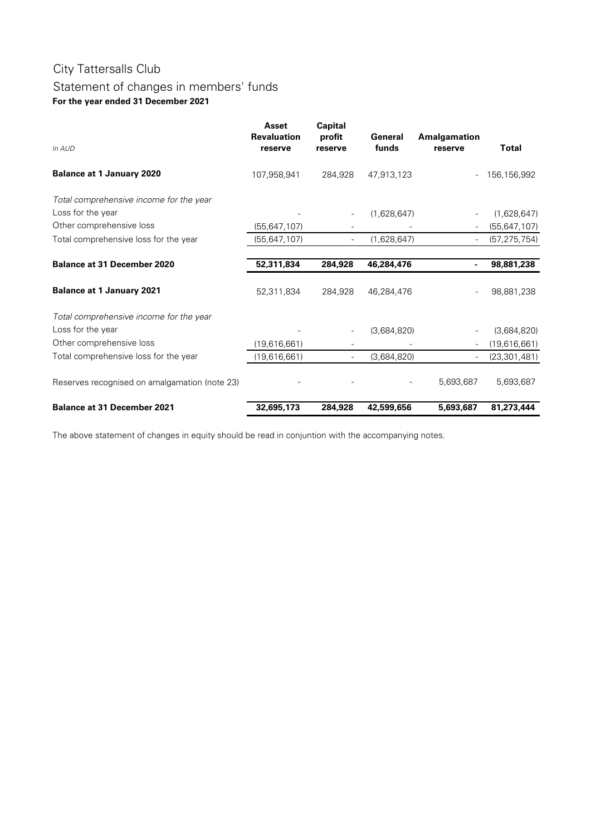## Statement of changes in members' funds **For the year ended 31 December 2021**

| In AUD                                        | <b>Asset</b><br><b>Revaluation</b><br>reserve | <b>Capital</b><br>profit<br>reserve | General<br>funds | Amalgamation<br>reserve | <b>Total</b>   |
|-----------------------------------------------|-----------------------------------------------|-------------------------------------|------------------|-------------------------|----------------|
| <b>Balance at 1 January 2020</b>              | 107,958,941                                   | 284,928                             | 47,913,123       |                         | 156,156,992    |
| Total comprehensive income for the year       |                                               |                                     |                  |                         |                |
| Loss for the year                             |                                               |                                     | (1,628,647)      |                         | (1,628,647)    |
| Other comprehensive loss                      | (55, 647, 107)                                |                                     |                  |                         | (55, 647, 107) |
| Total comprehensive loss for the year         | (55, 647, 107)                                |                                     | (1,628,647)      |                         | (57, 275, 754) |
| <b>Balance at 31 December 2020</b>            | 52,311,834                                    | 284,928                             | 46,284,476       |                         | 98,881,238     |
| <b>Balance at 1 January 2021</b>              | 52,311,834                                    | 284,928                             | 46,284,476       |                         | 98,881,238     |
| Total comprehensive income for the year       |                                               |                                     |                  |                         |                |
| Loss for the year                             |                                               |                                     | (3,684,820)      |                         | (3,684,820)    |
| Other comprehensive loss                      | (19,616,661)                                  |                                     |                  |                         | (19,616,661)   |
| Total comprehensive loss for the year         | (19,616,661)                                  |                                     | (3,684,820)      |                         | (23, 301, 481) |
| Reserves recognised on amalgamation (note 23) |                                               |                                     |                  | 5,693,687               | 5,693,687      |
| <b>Balance at 31 December 2021</b>            | 32,695,173                                    | 284,928                             | 42,599,656       | 5,693,687               | 81,273,444     |

The above statement of changes in equity should be read in conjuntion with the accompanying notes.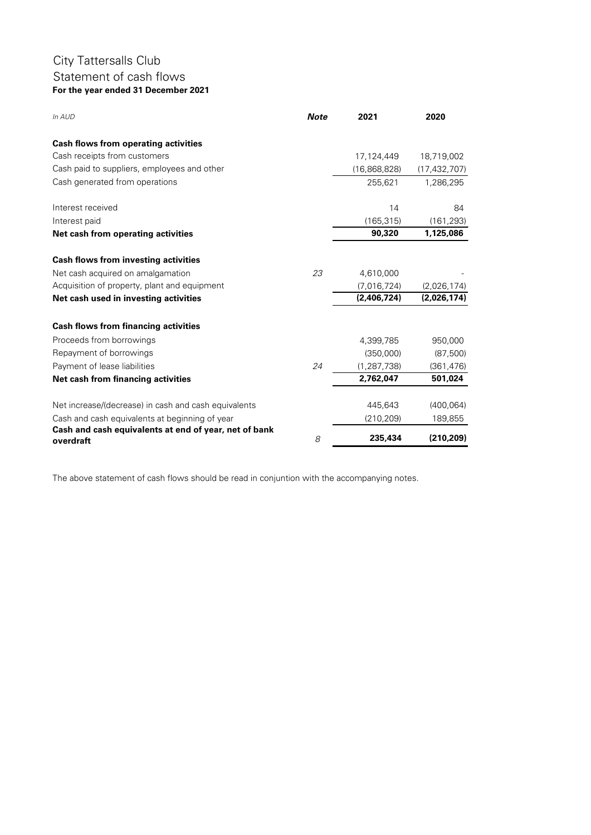## City Tattersalls Club Statement of cash flows **For the year ended 31 December 2021**

| In AUD                                                | <b>Note</b> | 2021          | 2020           |
|-------------------------------------------------------|-------------|---------------|----------------|
| <b>Cash flows from operating activities</b>           |             |               |                |
| Cash receipts from customers                          |             | 17,124,449    | 18,719,002     |
| Cash paid to suppliers, employees and other           |             | (16,868,828)  | (17, 432, 707) |
| Cash generated from operations                        |             | 255,621       | 1,286,295      |
| Interest received                                     |             | 14            | 84             |
| Interest paid                                         |             | (165, 315)    | (161, 293)     |
| Net cash from operating activities                    |             | 90,320        | 1,125,086      |
| <b>Cash flows from investing activities</b>           |             |               |                |
| Net cash acquired on amalgamation                     | 23          | 4,610,000     |                |
| Acquisition of property, plant and equipment          |             | (7,016,724)   | (2,026,174)    |
| Net cash used in investing activities                 |             | (2,406,724)   | (2,026,174)    |
| <b>Cash flows from financing activities</b>           |             |               |                |
| Proceeds from borrowings                              |             | 4,399,785     | 950,000        |
| Repayment of borrowings                               |             | (350,000)     | (87, 500)      |
| Payment of lease liabilities                          | 24          | (1, 287, 738) | (361, 476)     |
| Net cash from financing activities                    |             | 2,762,047     | 501,024        |
| Net increase/(decrease) in cash and cash equivalents  |             | 445,643       | (400, 064)     |
| Cash and cash equivalents at beginning of year        |             | (210, 209)    | 189,855        |
| Cash and cash equivalents at end of year, net of bank |             |               |                |
| overdraft                                             | 8           | 235,434       | (210, 209)     |

The above statement of cash flows should be read in conjuntion with the accompanying notes.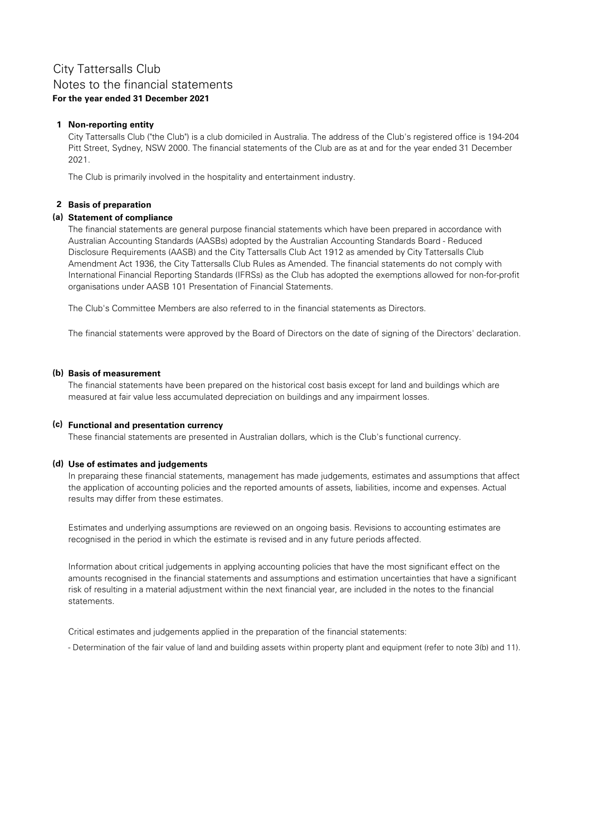### Notes to the financial statements **For the year ended 31 December 2021**

### **1 Non-reporting entity**

City Tattersalls Club ("the Club") is a club domiciled in Australia. The address of the Club's registered office is 194-204 Pitt Street, Sydney, NSW 2000. The financial statements of the Club are as at and for the year ended 31 December 2021.

The Club is primarily involved in the hospitality and entertainment industry.

### **2 Basis of preparation**

### **(a) Statement of compliance**

The financial statements are general purpose financial statements which have been prepared in accordance with Australian Accounting Standards (AASBs) adopted by the Australian Accounting Standards Board - Reduced Disclosure Requirements (AASB) and the City Tattersalls Club Act 1912 as amended by City Tattersalls Club Amendment Act 1936, the City Tattersalls Club Rules as Amended. The financial statements do not comply with International Financial Reporting Standards (IFRSs) as the Club has adopted the exemptions allowed for non-for-profit organisations under AASB 101 Presentation of Financial Statements.

The Club's Committee Members are also referred to in the financial statements as Directors.

The financial statements were approved by the Board of Directors on the date of signing of the Directors' declaration.

### **(b) Basis of measurement**

The financial statements have been prepared on the historical cost basis except for land and buildings which are measured at fair value less accumulated depreciation on buildings and any impairment losses.

### **(c) Functional and presentation currency**

These financial statements are presented in Australian dollars, which is the Club's functional currency.

### **(d) Use of estimates and judgements**

In preparaing these financial statements, management has made judgements, estimates and assumptions that affect the application of accounting policies and the reported amounts of assets, liabilities, income and expenses. Actual results may differ from these estimates.

Estimates and underlying assumptions are reviewed on an ongoing basis. Revisions to accounting estimates are recognised in the period in which the estimate is revised and in any future periods affected.

Information about critical judgements in applying accounting policies that have the most significant effect on the amounts recognised in the financial statements and assumptions and estimation uncertainties that have a significant risk of resulting in a material adjustment within the next financial year, are included in the notes to the financial statements.

Critical estimates and judgements applied in the preparation of the financial statements:

- Determination of the fair value of land and building assets within property plant and equipment (refer to note 3(b) and 11).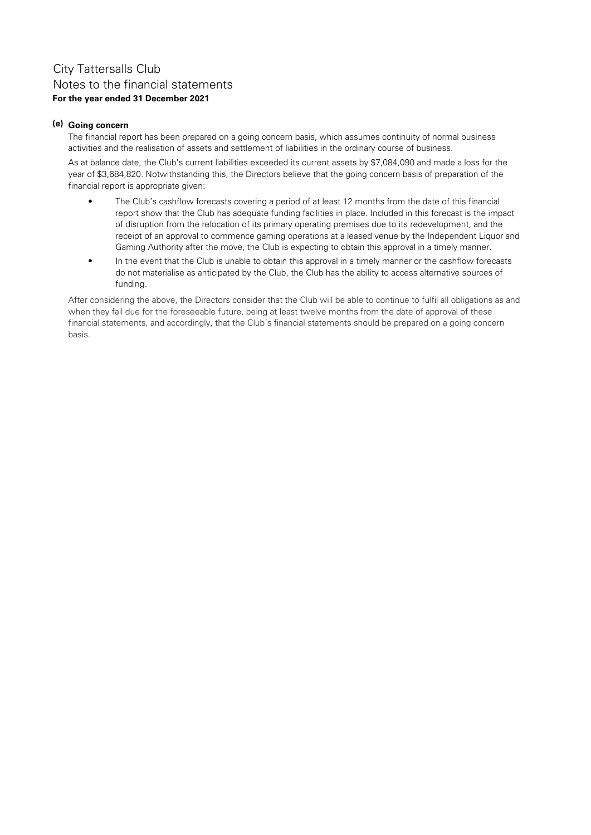### **(e) Going concern**

The financial report has been prepared on a going concern basis, which assumes continuity of normal business activities and the realisation of assets and settlement of liabilities in the ordinary course of business.

As at balance date, the Club's current liabilities exceeded its current assets by \$7,084,090 and made a loss for the year of \$3,684,820. Notwithstanding this, the Directors believe that the going concern basis of preparation of the financial report is appropriate given:

- **•** The Club's cashflow forecasts covering a period of at least 12 months from the date of this financial report show that the Club has adequate funding facilities in place. Included in this forecast is the impact of disruption from the relocation of its primary operating premises due to its redevelopment, and the receipt of an approval to commence gaming operations at a leased venue by the Independent Liquor and Gaming Authority after the move, the Club is expecting to obtain this approval in a timely manner.
- **•** In the event that the Club is unable to obtain this approval in a timely manner or the cashflow forecasts do not materialise as anticipated by the Club, the Club has the ability to access alternative sources of funding.

After considering the above, the Directors consider that the Club will be able to continue to fulfil all obligations as and when they fall due for the foreseeable future, being at least twelve months from the date of approval of these financial statements, and accordingly, that the Club's financial statements should be prepared on a going concern basis.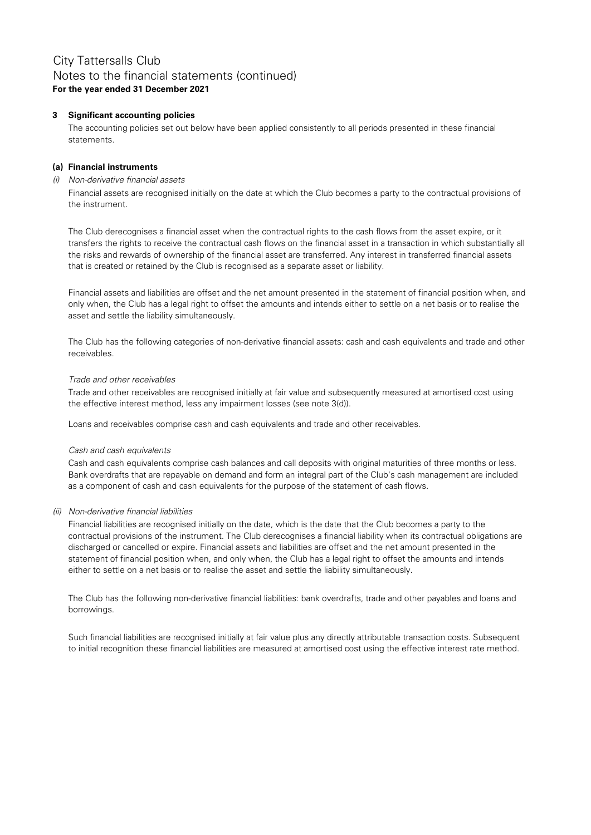### **3 Significant accounting policies**

The accounting policies set out below have been applied consistently to all periods presented in these financial statements.

### **(a) Financial instruments**

#### (i) Non-derivative financial assets

Financial assets are recognised initially on the date at which the Club becomes a party to the contractual provisions of the instrument.

The Club derecognises a financial asset when the contractual rights to the cash flows from the asset expire, or it transfers the rights to receive the contractual cash flows on the financial asset in a transaction in which substantially all the risks and rewards of ownership of the financial asset are transferred. Any interest in transferred financial assets that is created or retained by the Club is recognised as a separate asset or liability.

Financial assets and liabilities are offset and the net amount presented in the statement of financial position when, and only when, the Club has a legal right to offset the amounts and intends either to settle on a net basis or to realise the asset and settle the liability simultaneously.

The Club has the following categories of non-derivative financial assets: cash and cash equivalents and trade and other receivables.

### Trade and other receivables

Trade and other receivables are recognised initially at fair value and subsequently measured at amortised cost using the effective interest method, less any impairment losses (see note 3(d)).

Loans and receivables comprise cash and cash equivalents and trade and other receivables.

### Cash and cash equivalents

Cash and cash equivalents comprise cash balances and call deposits with original maturities of three months or less. Bank overdrafts that are repayable on demand and form an integral part of the Club's cash management are included as a component of cash and cash equivalents for the purpose of the statement of cash flows.

### (ii) Non-derivative financial liabilities

Financial liabilities are recognised initially on the date, which is the date that the Club becomes a party to the contractual provisions of the instrument. The Club derecognises a financial liability when its contractual obligations are discharged or cancelled or expire. Financial assets and liabilities are offset and the net amount presented in the statement of financial position when, and only when, the Club has a legal right to offset the amounts and intends either to settle on a net basis or to realise the asset and settle the liability simultaneously.

The Club has the following non-derivative financial liabilities: bank overdrafts, trade and other payables and loans and borrowings.

Such financial liabilities are recognised initially at fair value plus any directly attributable transaction costs. Subsequent to initial recognition these financial liabilities are measured at amortised cost using the effective interest rate method.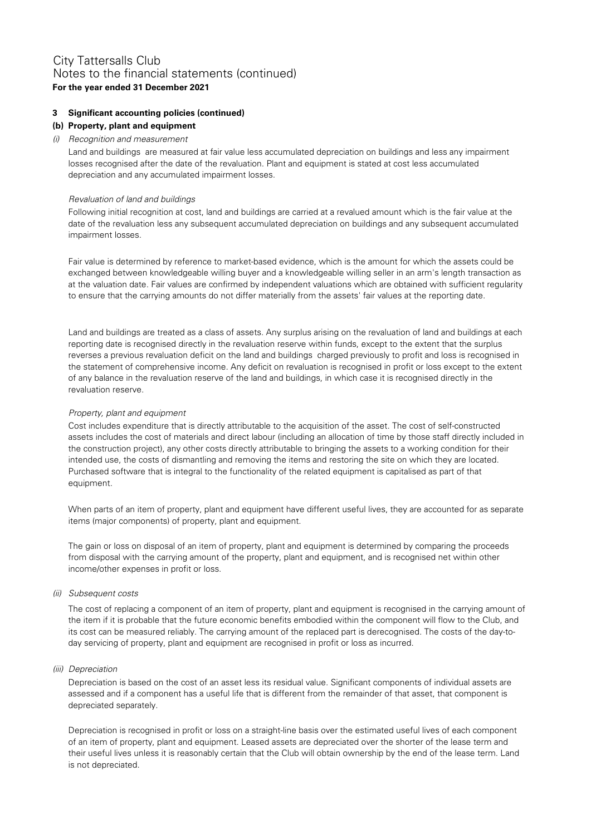### **3 Significant accounting policies (continued)**

### **(b) Property, plant and equipment**

### (i) Recognition and measurement

Land and buildings are measured at fair value less accumulated depreciation on buildings and less any impairment losses recognised after the date of the revaluation. Plant and equipment is stated at cost less accumulated depreciation and any accumulated impairment losses.

### Revaluation of land and buildings

Following initial recognition at cost, land and buildings are carried at a revalued amount which is the fair value at the date of the revaluation less any subsequent accumulated depreciation on buildings and any subsequent accumulated impairment losses.

Fair value is determined by reference to market-based evidence, which is the amount for which the assets could be exchanged between knowledgeable willing buyer and a knowledgeable willing seller in an arm's length transaction as at the valuation date. Fair values are confirmed by independent valuations which are obtained with sufficient regularity to ensure that the carrying amounts do not differ materially from the assets' fair values at the reporting date.

Land and buildings are treated as a class of assets. Any surplus arising on the revaluation of land and buildings at each reporting date is recognised directly in the revaluation reserve within funds, except to the extent that the surplus reverses a previous revaluation deficit on the land and buildings charged previously to profit and loss is recognised in the statement of comprehensive income. Any deficit on revaluation is recognised in profit or loss except to the extent of any balance in the revaluation reserve of the land and buildings, in which case it is recognised directly in the revaluation reserve.

### Property, plant and equipment

Cost includes expenditure that is directly attributable to the acquisition of the asset. The cost of self-constructed assets includes the cost of materials and direct labour (including an allocation of time by those staff directly included in the construction project), any other costs directly attributable to bringing the assets to a working condition for their intended use, the costs of dismantling and removing the items and restoring the site on which they are located. Purchased software that is integral to the functionality of the related equipment is capitalised as part of that equipment.

When parts of an item of property, plant and equipment have different useful lives, they are accounted for as separate items (major components) of property, plant and equipment.

The gain or loss on disposal of an item of property, plant and equipment is determined by comparing the proceeds from disposal with the carrying amount of the property, plant and equipment, and is recognised net within other income/other expenses in profit or loss.

### (ii) Subsequent costs

The cost of replacing a component of an item of property, plant and equipment is recognised in the carrying amount of the item if it is probable that the future economic benefits embodied within the component will flow to the Club, and its cost can be measured reliably. The carrying amount of the replaced part is derecognised. The costs of the day-today servicing of property, plant and equipment are recognised in profit or loss as incurred.

### (iii) Depreciation

Depreciation is based on the cost of an asset less its residual value. Significant components of individual assets are assessed and if a component has a useful life that is different from the remainder of that asset, that component is depreciated separately.

Depreciation is recognised in profit or loss on a straight-line basis over the estimated useful lives of each component of an item of property, plant and equipment. Leased assets are depreciated over the shorter of the lease term and their useful lives unless it is reasonably certain that the Club will obtain ownership by the end of the lease term. Land is not depreciated.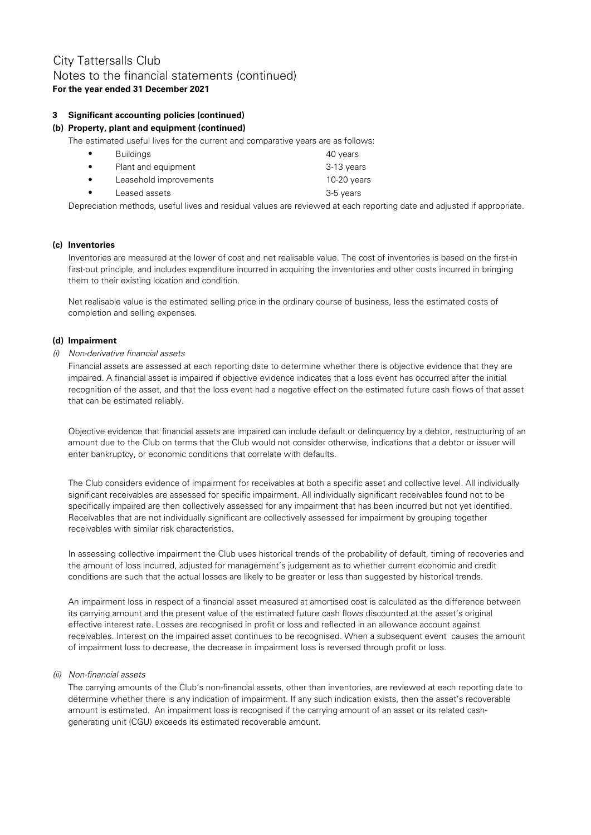### **3 Significant accounting policies (continued)**

### **(b) Property, plant and equipment (continued)**

The estimated useful lives for the current and comparative years are as follows:

| $\bullet$ | <b>Buildings</b>       | 40 years      |
|-----------|------------------------|---------------|
| $\bullet$ | Plant and equipment    | 3-13 years    |
| $\bullet$ | Leasehold improvements | $10-20$ years |
| $\bullet$ | Leased assets          | 3-5 years     |

Depreciation methods, useful lives and residual values are reviewed at each reporting date and adjusted if appropriate.

### **(c) Inventories**

Inventories are measured at the lower of cost and net realisable value. The cost of inventories is based on the first-in first-out principle, and includes expenditure incurred in acquiring the inventories and other costs incurred in bringing them to their existing location and condition.

Net realisable value is the estimated selling price in the ordinary course of business, less the estimated costs of completion and selling expenses.

### **(d) Impairment**

### (i) Non-derivative financial assets

Financial assets are assessed at each reporting date to determine whether there is objective evidence that they are impaired. A financial asset is impaired if objective evidence indicates that a loss event has occurred after the initial recognition of the asset, and that the loss event had a negative effect on the estimated future cash flows of that asset that can be estimated reliably.

Objective evidence that financial assets are impaired can include default or delinquency by a debtor, restructuring of an amount due to the Club on terms that the Club would not consider otherwise, indications that a debtor or issuer will enter bankruptcy, or economic conditions that correlate with defaults.

The Club considers evidence of impairment for receivables at both a specific asset and collective level. All individually significant receivables are assessed for specific impairment. All individually significant receivables found not to be specifically impaired are then collectively assessed for any impairment that has been incurred but not yet identified. Receivables that are not individually significant are collectively assessed for impairment by grouping together receivables with similar risk characteristics.

In assessing collective impairment the Club uses historical trends of the probability of default, timing of recoveries and the amount of loss incurred, adjusted for management's judgement as to whether current economic and credit conditions are such that the actual losses are likely to be greater or less than suggested by historical trends.

An impairment loss in respect of a financial asset measured at amortised cost is calculated as the difference between its carrying amount and the present value of the estimated future cash flows discounted at the asset's original effective interest rate. Losses are recognised in profit or loss and reflected in an allowance account against receivables. Interest on the impaired asset continues to be recognised. When a subsequent event causes the amount of impairment loss to decrease, the decrease in impairment loss is reversed through profit or loss.

### (ii) Non-financial assets

The carrying amounts of the Club's non-financial assets, other than inventories, are reviewed at each reporting date to determine whether there is any indication of impairment. If any such indication exists, then the asset's recoverable amount is estimated. An impairment loss is recognised if the carrying amount of an asset or its related cashgenerating unit (CGU) exceeds its estimated recoverable amount.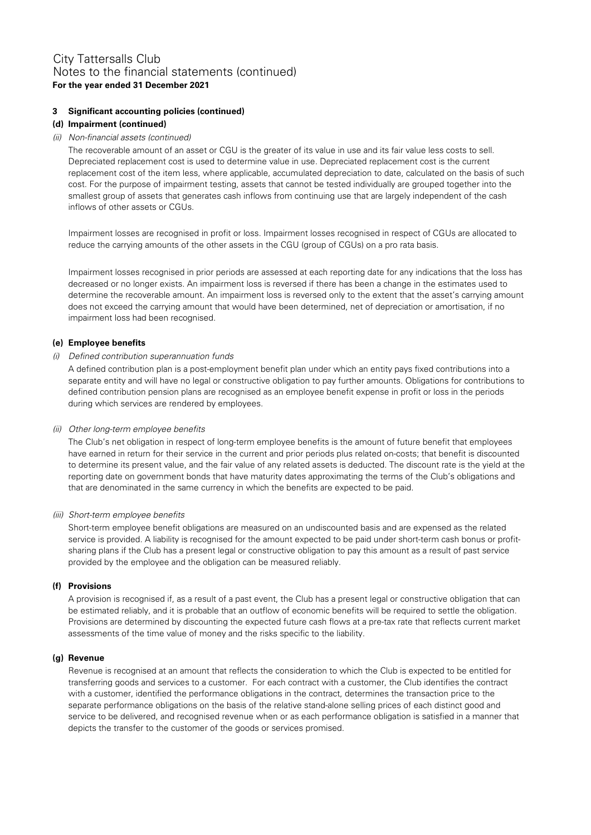### **3 Significant accounting policies (continued)**

### **(d) Impairment (continued)**

### (ii) Non-financial assets (continued)

The recoverable amount of an asset or CGU is the greater of its value in use and its fair value less costs to sell. Depreciated replacement cost is used to determine value in use. Depreciated replacement cost is the current replacement cost of the item less, where applicable, accumulated depreciation to date, calculated on the basis of such cost. For the purpose of impairment testing, assets that cannot be tested individually are grouped together into the smallest group of assets that generates cash inflows from continuing use that are largely independent of the cash inflows of other assets or CGUs.

Impairment losses are recognised in profit or loss. Impairment losses recognised in respect of CGUs are allocated to reduce the carrying amounts of the other assets in the CGU (group of CGUs) on a pro rata basis.

Impairment losses recognised in prior periods are assessed at each reporting date for any indications that the loss has decreased or no longer exists. An impairment loss is reversed if there has been a change in the estimates used to determine the recoverable amount. An impairment loss is reversed only to the extent that the asset's carrying amount does not exceed the carrying amount that would have been determined, net of depreciation or amortisation, if no impairment loss had been recognised.

### **(e) Employee benefits**

### (i) Defined contribution superannuation funds

A defined contribution plan is a post-employment benefit plan under which an entity pays fixed contributions into a separate entity and will have no legal or constructive obligation to pay further amounts. Obligations for contributions to defined contribution pension plans are recognised as an employee benefit expense in profit or loss in the periods during which services are rendered by employees.

### (ii) Other long-term employee benefits

The Club's net obligation in respect of long-term employee benefits is the amount of future benefit that employees have earned in return for their service in the current and prior periods plus related on-costs; that benefit is discounted to determine its present value, and the fair value of any related assets is deducted. The discount rate is the yield at the reporting date on government bonds that have maturity dates approximating the terms of the Club's obligations and that are denominated in the same currency in which the benefits are expected to be paid.

### (iii) Short-term employee benefits

Short-term employee benefit obligations are measured on an undiscounted basis and are expensed as the related service is provided. A liability is recognised for the amount expected to be paid under short-term cash bonus or profitsharing plans if the Club has a present legal or constructive obligation to pay this amount as a result of past service provided by the employee and the obligation can be measured reliably.

### **(f) Provisions**

A provision is recognised if, as a result of a past event, the Club has a present legal or constructive obligation that can be estimated reliably, and it is probable that an outflow of economic benefits will be required to settle the obligation. Provisions are determined by discounting the expected future cash flows at a pre-tax rate that reflects current market assessments of the time value of money and the risks specific to the liability.

### **(g) Revenue**

Revenue is recognised at an amount that reflects the consideration to which the Club is expected to be entitled for transferring goods and services to a customer. For each contract with a customer, the Club identifies the contract with a customer, identified the performance obligations in the contract, determines the transaction price to the separate performance obligations on the basis of the relative stand-alone selling prices of each distinct good and service to be delivered, and recognised revenue when or as each performance obligation is satisfied in a manner that depicts the transfer to the customer of the goods or services promised.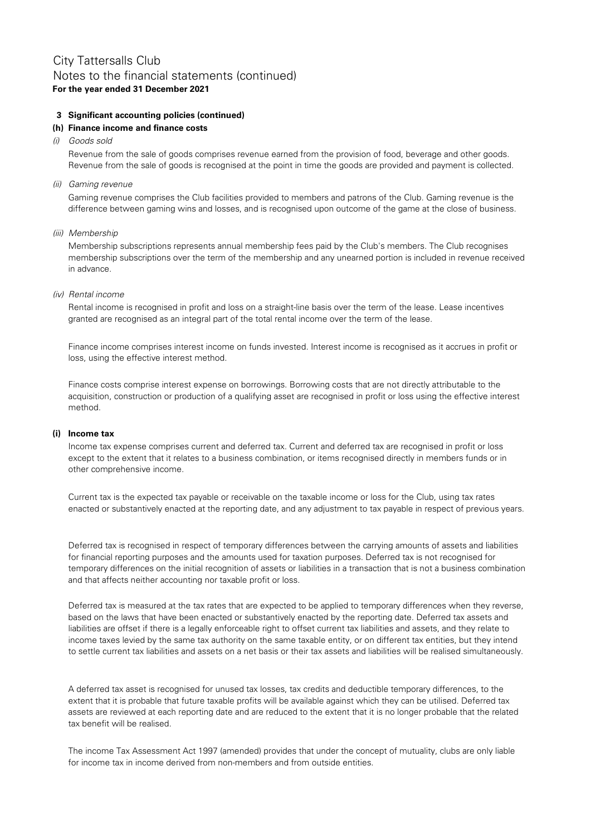### City Tattersalls Club **For the year ended 31 December 2021** Notes to the financial statements (continued)

### **3 Significant accounting policies (continued)**

### **(h) Finance income and finance costs**

(i) Goods sold

Revenue from the sale of goods comprises revenue earned from the provision of food, beverage and other goods. Revenue from the sale of goods is recognised at the point in time the goods are provided and payment is collected.

(ii) Gaming revenue

Gaming revenue comprises the Club facilities provided to members and patrons of the Club. Gaming revenue is the difference between gaming wins and losses, and is recognised upon outcome of the game at the close of business.

(iii) Membership

Membership subscriptions represents annual membership fees paid by the Club's members. The Club recognises membership subscriptions over the term of the membership and any unearned portion is included in revenue received in advance.

(iv) Rental income

Rental income is recognised in profit and loss on a straight-line basis over the term of the lease. Lease incentives granted are recognised as an integral part of the total rental income over the term of the lease.

Finance income comprises interest income on funds invested. Interest income is recognised as it accrues in profit or loss, using the effective interest method.

Finance costs comprise interest expense on borrowings. Borrowing costs that are not directly attributable to the acquisition, construction or production of a qualifying asset are recognised in profit or loss using the effective interest method.

### **(i) Income tax**

Income tax expense comprises current and deferred tax. Current and deferred tax are recognised in profit or loss except to the extent that it relates to a business combination, or items recognised directly in members funds or in other comprehensive income.

Current tax is the expected tax payable or receivable on the taxable income or loss for the Club, using tax rates enacted or substantively enacted at the reporting date, and any adjustment to tax payable in respect of previous years.

Deferred tax is recognised in respect of temporary differences between the carrying amounts of assets and liabilities for financial reporting purposes and the amounts used for taxation purposes. Deferred tax is not recognised for temporary differences on the initial recognition of assets or liabilities in a transaction that is not a business combination and that affects neither accounting nor taxable profit or loss.

Deferred tax is measured at the tax rates that are expected to be applied to temporary differences when they reverse, based on the laws that have been enacted or substantively enacted by the reporting date. Deferred tax assets and liabilities are offset if there is a legally enforceable right to offset current tax liabilities and assets, and they relate to income taxes levied by the same tax authority on the same taxable entity, or on different tax entities, but they intend to settle current tax liabilities and assets on a net basis or their tax assets and liabilities will be realised simultaneously.

A deferred tax asset is recognised for unused tax losses, tax credits and deductible temporary differences, to the extent that it is probable that future taxable profits will be available against which they can be utilised. Deferred tax assets are reviewed at each reporting date and are reduced to the extent that it is no longer probable that the related tax benefit will be realised.

The income Tax Assessment Act 1997 (amended) provides that under the concept of mutuality, clubs are only liable for income tax in income derived from non-members and from outside entities.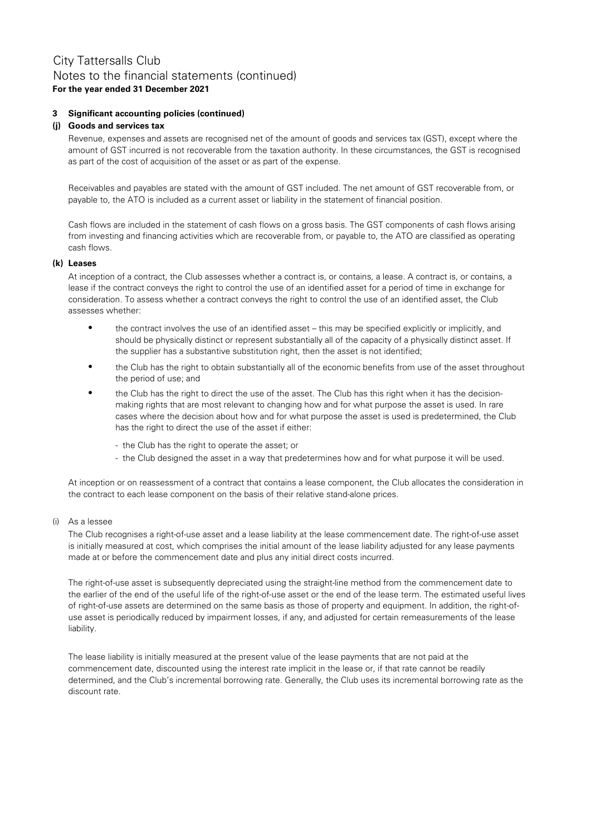### **3 Significant accounting policies (continued)**

### **(j) Goods and services tax**

Revenue, expenses and assets are recognised net of the amount of goods and services tax (GST), except where the amount of GST incurred is not recoverable from the taxation authority. In these circumstances, the GST is recognised as part of the cost of acquisition of the asset or as part of the expense.

Receivables and payables are stated with the amount of GST included. The net amount of GST recoverable from, or payable to, the ATO is included as a current asset or liability in the statement of financial position.

Cash flows are included in the statement of cash flows on a gross basis. The GST components of cash flows arising from investing and financing activities which are recoverable from, or payable to, the ATO are classified as operating cash flows.

### **(k) Leases**

At inception of a contract, the Club assesses whether a contract is, or contains, a lease. A contract is, or contains, a lease if the contract conveys the right to control the use of an identified asset for a period of time in exchange for consideration. To assess whether a contract conveys the right to control the use of an identified asset, the Club assesses whether:

- $\bullet$ the contract involves the use of an identified asset – this may be specified explicitly or implicitly, and should be physically distinct or represent substantially all of the capacity of a physically distinct asset. If the supplier has a substantive substitution right, then the asset is not identified;
- $\bullet$ the Club has the right to obtain substantially all of the economic benefits from use of the asset throughout the period of use; and
- $\bullet$ the Club has the right to direct the use of the asset. The Club has this right when it has the decisionmaking rights that are most relevant to changing how and for what purpose the asset is used. In rare cases where the decision about how and for what purpose the asset is used is predetermined, the Club has the right to direct the use of the asset if either:
	- the Club has the right to operate the asset; or
	- the Club designed the asset in a way that predetermines how and for what purpose it will be used.

At inception or on reassessment of a contract that contains a lease component, the Club allocates the consideration in the contract to each lease component on the basis of their relative stand-alone prices.

### (i) As a lessee

The Club recognises a right-of-use asset and a lease liability at the lease commencement date. The right-of-use asset is initially measured at cost, which comprises the initial amount of the lease liability adjusted for any lease payments made at or before the commencement date and plus any initial direct costs incurred.

The right-of-use asset is subsequently depreciated using the straight-line method from the commencement date to the earlier of the end of the useful life of the right-of-use asset or the end of the lease term. The estimated useful lives of right-of-use assets are determined on the same basis as those of property and equipment. In addition, the right-ofuse asset is periodically reduced by impairment losses, if any, and adjusted for certain remeasurements of the lease liability.

The lease liability is initially measured at the present value of the lease payments that are not paid at the commencement date, discounted using the interest rate implicit in the lease or, if that rate cannot be readily determined, and the Club's incremental borrowing rate. Generally, the Club uses its incremental borrowing rate as the discount rate.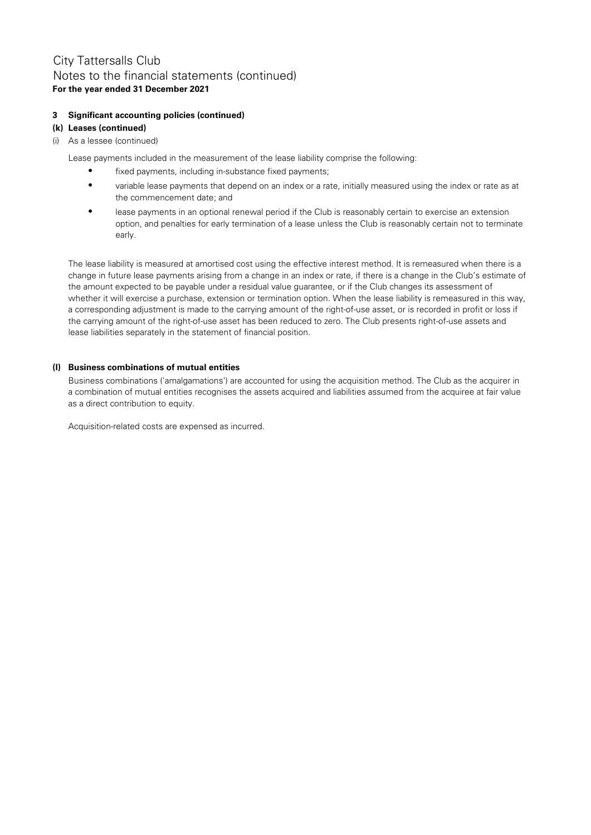### **For the year ended 31 December 2021** City Tattersalls Club Notes to the financial statements (continued)

### **3 Significant accounting policies (continued)**

### **(k) Leases (continued)**

(i) As a lessee (continued)

Lease payments included in the measurement of the lease liability comprise the following:

- $\bullet$ fixed payments, including in-substance fixed payments;
- $\bullet$ variable lease payments that depend on an index or a rate, initially measured using the index or rate as at the commencement date; and
- $\bullet$ lease payments in an optional renewal period if the Club is reasonably certain to exercise an extension option, and penalties for early termination of a lease unless the Club is reasonably certain not to terminate early.

The lease liability is measured at amortised cost using the effective interest method. It is remeasured when there is a change in future lease payments arising from a change in an index or rate, if there is a change in the Club's estimate of the amount expected to be payable under a residual value guarantee, or if the Club changes its assessment of whether it will exercise a purchase, extension or termination option. When the lease liability is remeasured in this way, a corresponding adjustment is made to the carrying amount of the right-of-use asset, or is recorded in profit or loss if the carrying amount of the right-of-use asset has been reduced to zero. The Club presents right-of-use assets and lease liabilities separately in the statement of financial position.

### **(l) Business combinations of mutual entities**

Business combinations ('amalgamations') are accounted for using the acquisition method. The Club as the acquirer in a combination of mutual entities recognises the assets acquired and liabilities assumed from the acquiree at fair value as a direct contribution to equity.

Acquisition-related costs are expensed as incurred.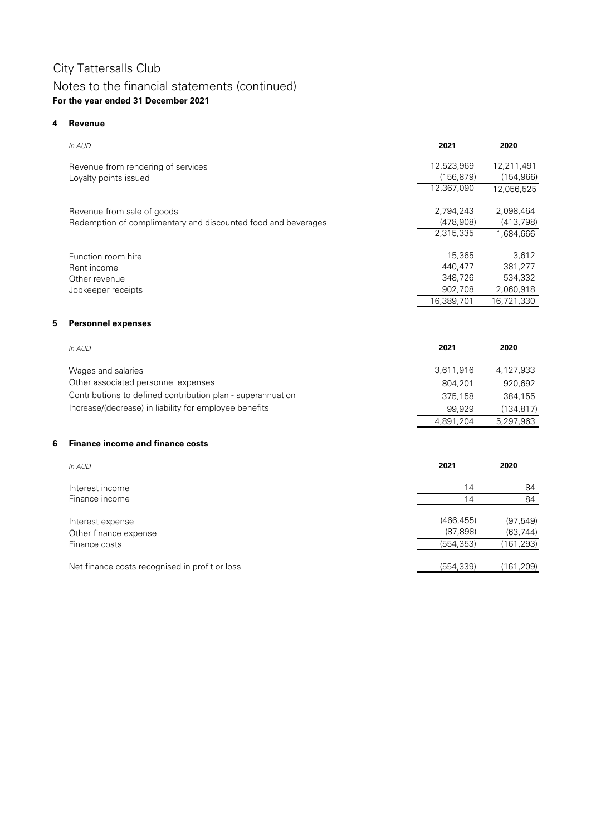## Notes to the financial statements (continued) **For the year ended 31 December 2021**

### **4 Revenue**

**5**

**6**

| In AUD                                                        | 2021       | 2020       |
|---------------------------------------------------------------|------------|------------|
| Revenue from rendering of services                            | 12,523,969 | 12,211,491 |
| Loyalty points issued                                         | (156, 879) | (154, 966) |
|                                                               | 12,367,090 | 12,056,525 |
| Revenue from sale of goods                                    | 2,794,243  | 2,098,464  |
| Redemption of complimentary and discounted food and beverages | (478,908)  | (413, 798) |
|                                                               | 2,315,335  | 1,684,666  |
| Function room hire                                            | 15,365     | 3,612      |
| Rent income                                                   | 440,477    | 381,277    |
| Other revenue                                                 | 348,726    | 534,332    |
| Jobkeeper receipts                                            | 902,708    | 2,060,918  |
|                                                               | 16,389,701 | 16,721,330 |
| <b>Personnel expenses</b>                                     |            |            |
| In AUD                                                        | 2021       | 2020       |
| Wages and salaries                                            | 3,611,916  | 4,127,933  |
| Other associated personnel expenses                           | 804,201    | 920,692    |
| Contributions to defined contribution plan - superannuation   | 375,158    | 384,155    |
| Increase/(decrease) in liability for employee benefits        | 99,929     | (134, 817) |
|                                                               | 4,891,204  | 5,297,963  |
| <b>Finance income and finance costs</b>                       |            |            |
| In AUD                                                        | 2021       | 2020       |
| Interest income                                               | 14         | 84         |
| Finance income                                                | 14         | 84         |
| Interest expense                                              | (466, 455) | (97, 549)  |
| Other finance expense                                         | (87, 898)  | (63, 744)  |
| Finance costs                                                 | (554, 353) | (161, 293) |
| Net finance costs recognised in profit or loss                | (554, 339) | (161, 209) |
|                                                               |            |            |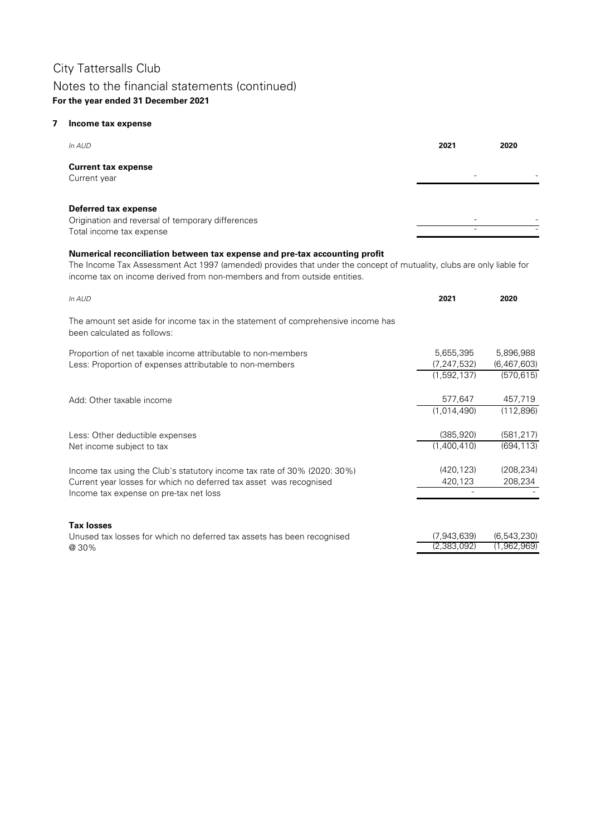## Notes to the financial statements (continued) **For the year ended 31 December 2021**

### **7 Income tax expense**

| In AUD                                                                                                       | 2021                     | 2020                     |
|--------------------------------------------------------------------------------------------------------------|--------------------------|--------------------------|
| <b>Current tax expense</b><br>Current year                                                                   | $\overline{\phantom{0}}$ |                          |
| <b>Deferred tax expense</b><br>Origination and reversal of temporary differences<br>Total income tax expense |                          | $\overline{\phantom{0}}$ |

### **Numerical reconciliation between tax expense and pre-tax accounting profit**

The Income Tax Assessment Act 1997 (amended) provides that under the concept of mutuality, clubs are only liable for income tax on income derived from non-members and from outside entities.

| In AUD                                                                                                                                                                                   | 2021                                      | 2020                                   |
|------------------------------------------------------------------------------------------------------------------------------------------------------------------------------------------|-------------------------------------------|----------------------------------------|
| The amount set aside for income tax in the statement of comprehensive income has<br>been calculated as follows:                                                                          |                                           |                                        |
| Proportion of net taxable income attributable to non-members<br>Less: Proportion of expenses attributable to non-members                                                                 | 5,655,395<br>(7, 247, 532)<br>(1,592,137) | 5,896,988<br>(6,467,603)<br>(570, 615) |
| Add: Other taxable income                                                                                                                                                                | 577,647<br>(1,014,490)                    | 457,719<br>(112, 896)                  |
| Less: Other deductible expenses<br>Net income subject to tax                                                                                                                             | (385, 920)<br>(1,400,410)                 | (581, 217)<br>(694, 113)               |
| Income tax using the Club's statutory income tax rate of 30% (2020: 30%)<br>Current year losses for which no deferred tax asset was recognised<br>Income tax expense on pre-tax net loss | (420, 123)<br>420,123                     | (208, 234)<br>208,234                  |
| <b>Tax losses</b><br>Unused tax losses for which no deferred tax assets has been recognised<br>@30%                                                                                      | (7,943,639)<br>(2,383,092)                | (6,543,230)<br>(1,962,969)             |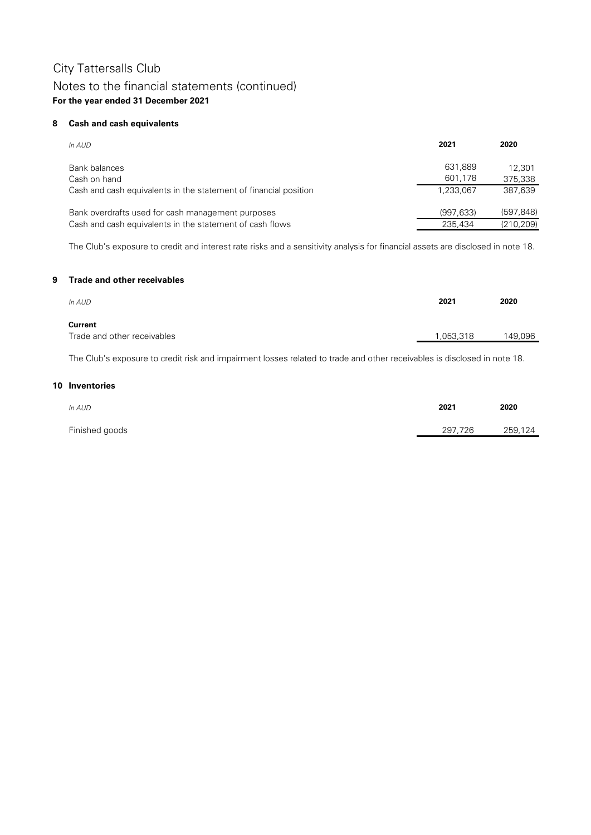### **8 Cash and cash equivalents**

| In AUD                                                           | 2021               | 2020              |
|------------------------------------------------------------------|--------------------|-------------------|
| Bank balances<br>Cash on hand                                    | 631,889<br>601,178 | 12.301<br>375,338 |
| Cash and cash equivalents in the statement of financial position | 1,233,067          | 387,639           |
| Bank overdrafts used for cash management purposes                | (997, 633)         | (597, 848)        |
| Cash and cash equivalents in the statement of cash flows         | 235.434            | (210, 209)        |

The Club's exposure to credit and interest rate risks and a sensitivity analysis for financial assets are disclosed in note 18.

#### **9 Trade and other receivables**

| In AUD                                 | 2021      | 2020    |
|----------------------------------------|-----------|---------|
| Current<br>Trade and other receivables | 1,053,318 | 149,096 |

The Club's exposure to credit risk and impairment losses related to trade and other receivables is disclosed in note 18.

#### **10 Inventories**

| In AUD         | 2021    | 2020    |
|----------------|---------|---------|
| Finished goods | 297,726 | 259,124 |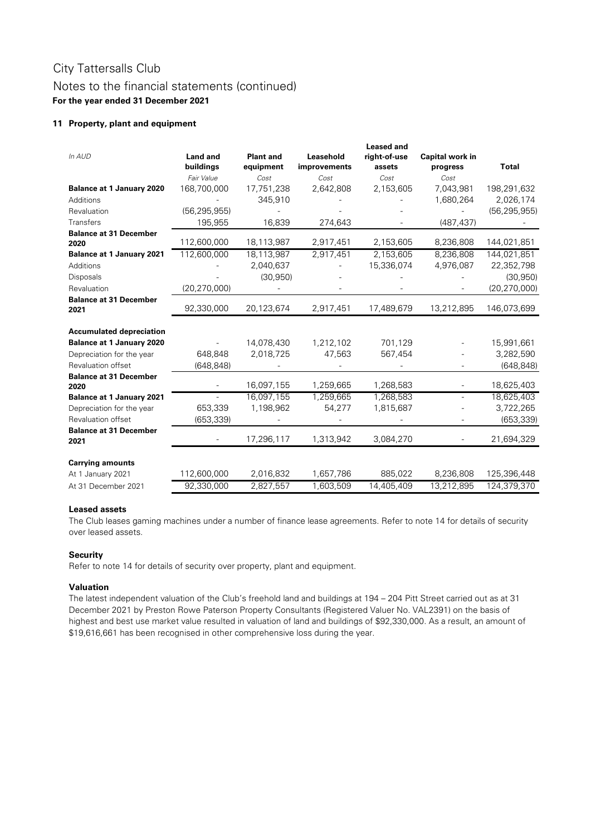### **11 Property, plant and equipment**

| In AUD                                | <b>Land and</b><br>buildings | <b>Plant and</b><br>equipment | Leasehold<br>improvements | <b>Leased and</b><br>right-of-use<br>assets | <b>Capital work in</b><br>progress | <b>Total</b>   |
|---------------------------------------|------------------------------|-------------------------------|---------------------------|---------------------------------------------|------------------------------------|----------------|
| <b>Balance at 1 January 2020</b>      | Fair Value<br>168,700,000    | Cost<br>17,751,238            | Cost<br>2,642,808         | Cost<br>2,153,605                           | Cost<br>7,043,981                  | 198,291,632    |
| Additions                             |                              | 345,910                       |                           |                                             | 1,680,264                          | 2,026,174      |
| Revaluation                           | (56, 295, 955)               |                               |                           |                                             |                                    | (56, 295, 955) |
| <b>Transfers</b>                      | 195,955                      | 16,839                        | 274,643                   |                                             | (487, 437)                         |                |
| <b>Balance at 31 December</b>         |                              |                               |                           |                                             |                                    |                |
| 2020                                  | 112,600,000                  | 18,113,987                    | 2,917,451                 | 2,153,605                                   | 8,236,808                          | 144,021,851    |
| <b>Balance at 1 January 2021</b>      | 112,600,000                  | 18,113,987                    | 2,917,451                 | 2,153,605                                   | 8,236,808                          | 144,021,851    |
| Additions                             |                              | 2,040,637                     |                           | 15,336,074                                  | 4,976,087                          | 22,352,798     |
| Disposals                             |                              | (30, 950)                     |                           |                                             |                                    | (30, 950)      |
| Revaluation                           | (20, 270, 000)               |                               |                           |                                             |                                    | (20, 270, 000) |
| <b>Balance at 31 December</b><br>2021 | 92,330,000                   | 20,123,674                    | 2,917,451                 | 17,489,679                                  | 13,212,895                         | 146,073,699    |
| <b>Accumulated depreciation</b>       |                              |                               |                           |                                             |                                    |                |
| <b>Balance at 1 January 2020</b>      |                              | 14,078,430                    | 1,212,102                 | 701,129                                     |                                    | 15,991,661     |
| Depreciation for the year             | 648,848                      | 2,018,725                     | 47,563                    | 567,454                                     |                                    | 3,282,590      |
| Revaluation offset                    | (648, 848)                   |                               |                           |                                             |                                    | (648, 848)     |
| <b>Balance at 31 December</b><br>2020 |                              | 16,097,155                    | 1,259,665                 | 1,268,583                                   |                                    | 18,625,403     |
| <b>Balance at 1 January 2021</b>      |                              | 16,097,155                    | 1,259,665                 | 1,268,583                                   |                                    | 18,625,403     |
| Depreciation for the year             | 653,339                      | 1,198,962                     | 54,277                    | 1,815,687                                   |                                    | 3,722,265      |
| Revaluation offset                    | (653, 339)                   |                               |                           |                                             |                                    | (653, 339)     |
| <b>Balance at 31 December</b><br>2021 |                              | 17,296,117                    | 1,313,942                 | 3,084,270                                   |                                    | 21,694,329     |
| <b>Carrying amounts</b>               |                              |                               |                           |                                             |                                    |                |
| At 1 January 2021                     | 112,600,000                  | 2,016,832                     | 1,657,786                 | 885,022                                     | 8,236,808                          | 125,396,448    |
| At 31 December 2021                   | 92,330,000                   | 2,827,557                     | 1,603,509                 | 14,405,409                                  | 13,212,895                         | 124,379,370    |

### **Leased assets**

The Club leases gaming machines under a number of finance lease agreements. Refer to note 14 for details of security over leased assets.

### **Security**

Refer to note 14 for details of security over property, plant and equipment.

### **Valuation**

The latest independent valuation of the Club's freehold land and buildings at 194 – 204 Pitt Street carried out as at 31 December 2021 by Preston Rowe Paterson Property Consultants (Registered Valuer No. VAL2391) on the basis of highest and best use market value resulted in valuation of land and buildings of \$92,330,000. As a result, an amount of \$19,616,661 has been recognised in other comprehensive loss during the year.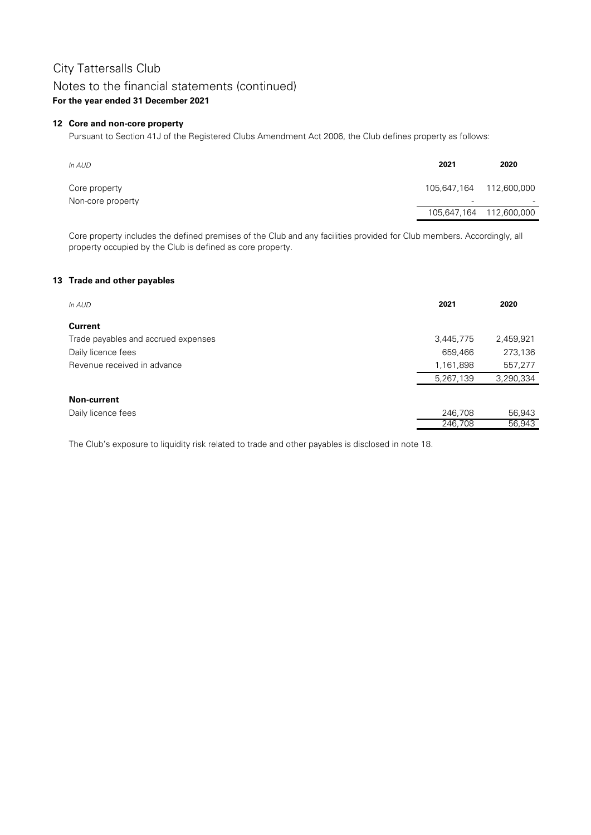## Notes to the financial statements (continued)

### **For the year ended 31 December 2021**

### **12 Core and non-core property**

Pursuant to Section 41J of the Registered Clubs Amendment Act 2006, the Club defines property as follows:

| In AUD                             | 2021                                                | 2020                    |
|------------------------------------|-----------------------------------------------------|-------------------------|
| Core property<br>Non-core property | 105,647,164 112,600,000<br>$\overline{\phantom{a}}$ | $\sim$                  |
|                                    |                                                     | 105,647,164 112,600,000 |

Core property includes the defined premises of the Club and any facilities provided for Club members. Accordingly, all property occupied by the Club is defined as core property.

### **13 Trade and other payables**

| In AUD                              | 2021      | 2020      |
|-------------------------------------|-----------|-----------|
| <b>Current</b>                      |           |           |
| Trade payables and accrued expenses | 3,445,775 | 2,459,921 |
| Daily licence fees                  | 659,466   | 273,136   |
| Revenue received in advance         | 1,161,898 | 557,277   |
|                                     | 5,267,139 | 3,290,334 |
| <b>Non-current</b>                  |           |           |
| Daily licence fees                  | 246,708   | 56,943    |
|                                     | 246,708   | 56,943    |

The Club's exposure to liquidity risk related to trade and other payables is disclosed in note 18.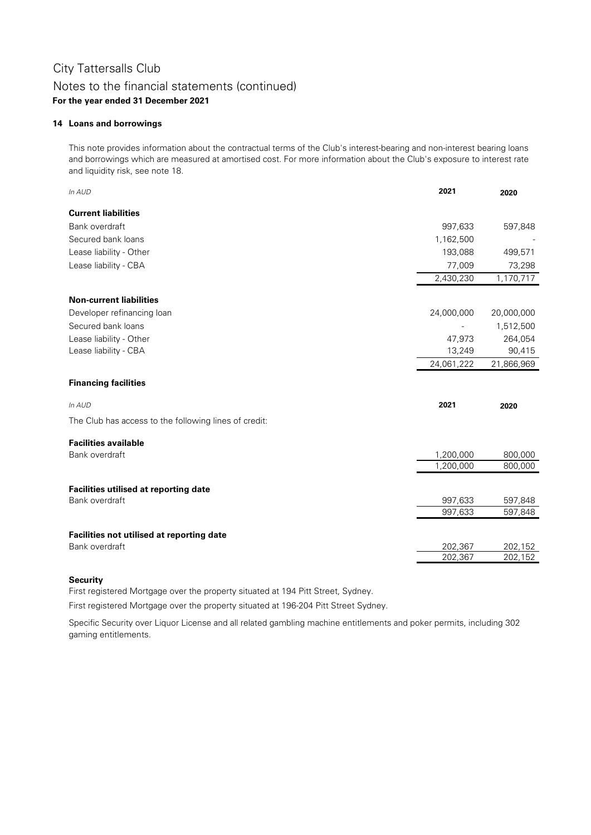### **14 Loans and borrowings**

This note provides information about the contractual terms of the Club's interest-bearing and non-interest bearing loans and borrowings which are measured at amortised cost. For more information about the Club's exposure to interest rate and liquidity risk, see note 18.

| In AUD                                                      | 2021       | 2020       |
|-------------------------------------------------------------|------------|------------|
| <b>Current liabilities</b>                                  |            |            |
| Bank overdraft                                              | 997,633    | 597,848    |
| Secured bank loans                                          | 1,162,500  |            |
| Lease liability - Other                                     | 193,088    | 499,571    |
| Lease liability - CBA                                       | 77,009     | 73,298     |
|                                                             | 2,430,230  | 1,170,717  |
| <b>Non-current liabilities</b>                              |            |            |
| Developer refinancing loan                                  | 24,000,000 | 20,000,000 |
| Secured bank loans                                          |            | 1,512,500  |
| Lease liability - Other                                     | 47,973     | 264,054    |
| Lease liability - CBA                                       | 13,249     | 90,415     |
|                                                             | 24,061,222 | 21,866,969 |
| <b>Financing facilities</b>                                 |            |            |
| In AUD                                                      | 2021       | 2020       |
| The Club has access to the following lines of credit:       |            |            |
| <b>Facilities available</b>                                 |            |            |
| Bank overdraft                                              | 1,200,000  | 800,000    |
|                                                             | 1,200,000  | 800,000    |
| <b>Facilities utilised at reporting date</b>                |            |            |
| Bank overdraft                                              | 997,633    | 597,848    |
|                                                             | 997,633    | 597,848    |
|                                                             |            |            |
| Facilities not utilised at reporting date<br>Bank overdraft | 202,367    | 202,152    |
|                                                             | 202,367    | 202,152    |

### **Security**

First registered Mortgage over the property situated at 194 Pitt Street, Sydney.

First registered Mortgage over the property situated at 196-204 Pitt Street Sydney.

Specific Security over Liquor License and all related gambling machine entitlements and poker permits, including 302 gaming entitlements.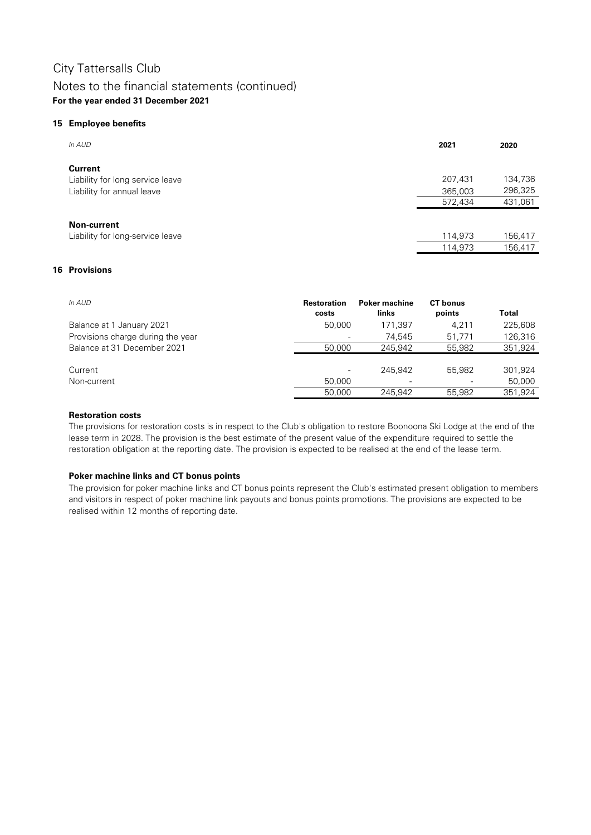### Notes to the financial statements (continued) **For the year ended 31 December 2021**

### **15 Employee benefits**

| In AUD                           | 2021    | 2020    |
|----------------------------------|---------|---------|
| <b>Current</b>                   |         |         |
| Liability for long service leave | 207,431 | 134,736 |
| Liability for annual leave       | 365,003 | 296,325 |
|                                  | 572,434 | 431,061 |
|                                  |         |         |
| <b>Non-current</b>               |         |         |
| Liability for long-service leave | 114,973 | 156,417 |
|                                  | 114,973 | 156,417 |

### **16 Provisions**

| In AUD                            | <b>Restoration</b><br>costs | <b>Poker machine</b><br>links | <b>CT</b> bonus<br>points | Total   |
|-----------------------------------|-----------------------------|-------------------------------|---------------------------|---------|
| Balance at 1 January 2021         | 50,000                      | 171.397                       | 4.211                     | 225,608 |
| Provisions charge during the year |                             | 74,545                        | 51.771                    | 126,316 |
| Balance at 31 December 2021       | 50,000                      | 245,942                       | 55,982                    | 351,924 |
|                                   |                             |                               |                           |         |
| Current                           | $\overline{\phantom{a}}$    | 245,942                       | 55,982                    | 301,924 |
| Non-current                       | 50,000                      | $\qquad \qquad \blacksquare$  |                           | 50,000  |
|                                   | 50,000                      | 245.942                       | 55,982                    | 351,924 |

### **Restoration costs**

The provisions for restoration costs is in respect to the Club's obligation to restore Boonoona Ski Lodge at the end of the lease term in 2028. The provision is the best estimate of the present value of the expenditure required to settle the restoration obligation at the reporting date. The provision is expected to be realised at the end of the lease term.

### **Poker machine links and CT bonus points**

The provision for poker machine links and CT bonus points represent the Club's estimated present obligation to members and visitors in respect of poker machine link payouts and bonus points promotions. The provisions are expected to be realised within 12 months of reporting date.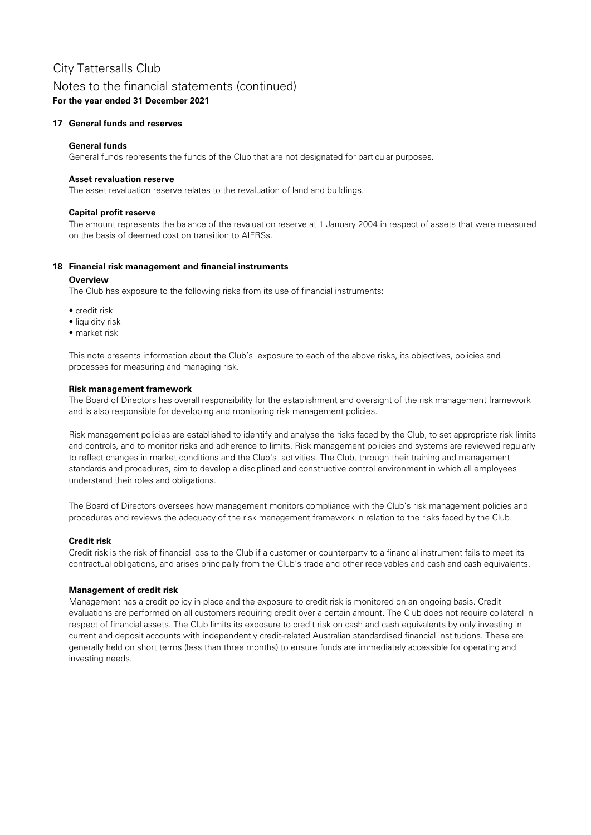### Notes to the financial statements (continued)

**For the year ended 31 December 2021**

### **17 General funds and reserves**

### **General funds**

General funds represents the funds of the Club that are not designated for particular purposes.

### **Asset revaluation reserve**

The asset revaluation reserve relates to the revaluation of land and buildings.

### **Capital profit reserve**

The amount represents the balance of the revaluation reserve at 1 January 2004 in respect of assets that were measured on the basis of deemed cost on transition to AIFRSs.

### **18 Financial risk management and financial instruments**

### **Overview**

The Club has exposure to the following risks from its use of financial instruments:

- credit risk
- liquidity risk
- market risk

This note presents information about the Club's exposure to each of the above risks, its objectives, policies and processes for measuring and managing risk.

### **Risk management framework**

The Board of Directors has overall responsibility for the establishment and oversight of the risk management framework and is also responsible for developing and monitoring risk management policies.

Risk management policies are established to identify and analyse the risks faced by the Club, to set appropriate risk limits and controls, and to monitor risks and adherence to limits. Risk management policies and systems are reviewed regularly to reflect changes in market conditions and the Club's activities. The Club, through their training and management standards and procedures, aim to develop a disciplined and constructive control environment in which all employees understand their roles and obligations.

The Board of Directors oversees how management monitors compliance with the Club's risk management policies and procedures and reviews the adequacy of the risk management framework in relation to the risks faced by the Club.

### **Credit risk**

Credit risk is the risk of financial loss to the Club if a customer or counterparty to a financial instrument fails to meet its contractual obligations, and arises principally from the Club's trade and other receivables and cash and cash equivalents.

### **Management of credit risk**

Management has a credit policy in place and the exposure to credit risk is monitored on an ongoing basis. Credit evaluations are performed on all customers requiring credit over a certain amount. The Club does not require collateral in respect of financial assets. The Club limits its exposure to credit risk on cash and cash equivalents by only investing in current and deposit accounts with independently credit-related Australian standardised financial institutions. These are generally held on short terms (less than three months) to ensure funds are immediately accessible for operating and investing needs.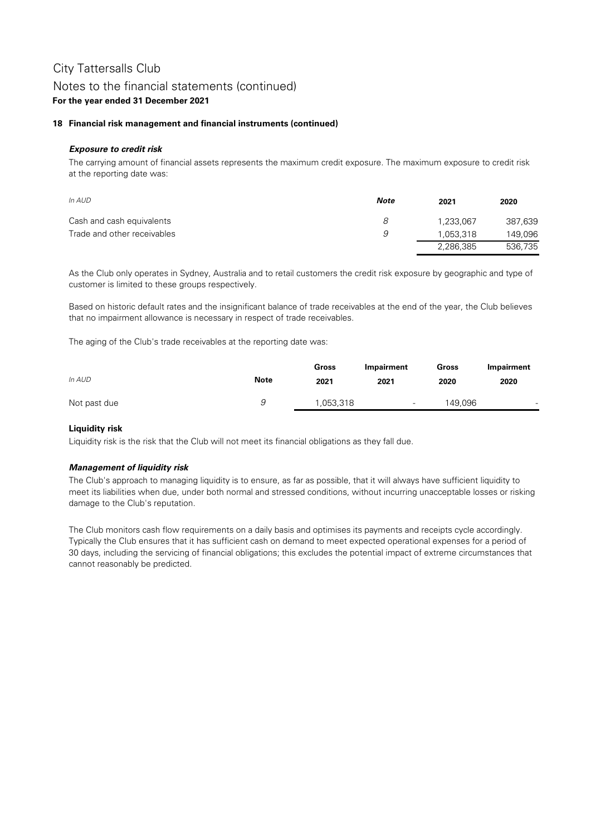### Notes to the financial statements (continued)

### **For the year ended 31 December 2021**

### **18 Financial risk management and financial instruments (continued)**

### **Exposure to credit risk**

The carrying amount of financial assets represents the maximum credit exposure. The maximum exposure to credit risk at the reporting date was:

| In AUD                      | Note | 2021      | 2020    |
|-----------------------------|------|-----------|---------|
| Cash and cash equivalents   | 8    | 1,233,067 | 387,639 |
| Trade and other receivables | 9    | 1,053,318 | 149,096 |
|                             |      | 2,286,385 | 536,735 |

As the Club only operates in Sydney, Australia and to retail customers the credit risk exposure by geographic and type of customer is limited to these groups respectively.

Based on historic default rates and the insignificant balance of trade receivables at the end of the year, the Club believes that no impairment allowance is necessary in respect of trade receivables.

The aging of the Club's trade receivables at the reporting date was:

|              |             | Gross    | Impairment | Gross   | Impairment |
|--------------|-------------|----------|------------|---------|------------|
| In AUD       | <b>Note</b> | 2021     | 2021       | 2020    | 2020       |
| Not past due | u           | ,053,318 | -          | 149,096 | -          |

### **Liquidity risk**

Liquidity risk is the risk that the Club will not meet its financial obligations as they fall due.

### **Management of liquidity risk**

The Club's approach to managing liquidity is to ensure, as far as possible, that it will always have sufficient liquidity to meet its liabilities when due, under both normal and stressed conditions, without incurring unacceptable losses or risking damage to the Club's reputation.

The Club monitors cash flow requirements on a daily basis and optimises its payments and receipts cycle accordingly. Typically the Club ensures that it has sufficient cash on demand to meet expected operational expenses for a period of 30 days, including the servicing of financial obligations; this excludes the potential impact of extreme circumstances that cannot reasonably be predicted.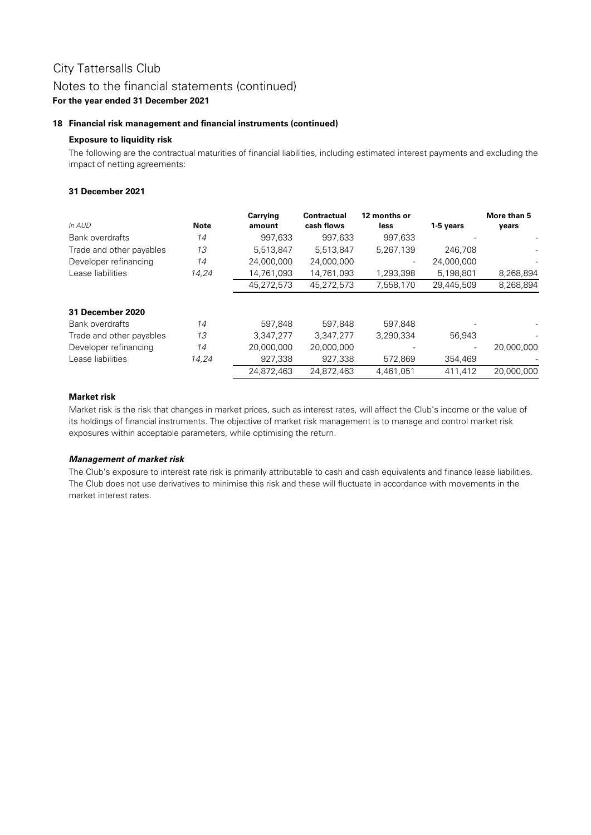### Notes to the financial statements (continued)

### **For the year ended 31 December 2021**

### **18 Financial risk management and financial instruments (continued)**

### **Exposure to liquidity risk**

The following are the contractual maturities of financial liabilities, including estimated interest payments and excluding the impact of netting agreements:

### **31 December 2021**

| In AUD                   | <b>Note</b> | <b>Carrying</b><br>amount | <b>Contractual</b><br>cash flows | 12 months or<br><b>less</b> | 1-5 years                | More than 5<br>years |
|--------------------------|-------------|---------------------------|----------------------------------|-----------------------------|--------------------------|----------------------|
| <b>Bank overdrafts</b>   | 14          | 997,633                   | 997,633                          | 997,633                     |                          |                      |
| Trade and other payables | 13          | 5,513,847                 | 5,513,847                        | 5,267,139                   | 246,708                  |                      |
| Developer refinancing    | 14          | 24,000,000                | 24,000,000                       |                             | 24,000,000               |                      |
| Lease liabilities        | 14,24       | 14,761,093                | 14,761,093                       | 1,293,398                   | 5,198,801                | 8,268,894            |
|                          |             | 45,272,573                | 45,272,573                       | 7,558,170                   | 29,445,509               | 8,268,894            |
| 31 December 2020         |             |                           |                                  |                             |                          |                      |
| Bank overdrafts          | 14          | 597,848                   | 597,848                          | 597,848                     |                          |                      |
| Trade and other payables | 13          | 3,347,277                 | 3,347,277                        | 3,290,334                   | 56,943                   |                      |
| Developer refinancing    | 14          | 20,000,000                | 20,000,000                       |                             | $\overline{\phantom{a}}$ | 20,000,000           |
| Lease liabilities        | 14,24       | 927,338                   | 927,338                          | 572,869                     | 354,469                  |                      |
|                          |             | 24,872,463                | 24,872,463                       | 4,461,051                   | 411,412                  | 20,000,000           |

### **Market risk**

Market risk is the risk that changes in market prices, such as interest rates, will affect the Club's income or the value of its holdings of financial instruments. The objective of market risk management is to manage and control market risk exposures within acceptable parameters, while optimising the return.

### **Management of market risk**

The Club's exposure to interest rate risk is primarily attributable to cash and cash equivalents and finance lease liabilities. The Club does not use derivatives to minimise this risk and these will fluctuate in accordance with movements in the market interest rates.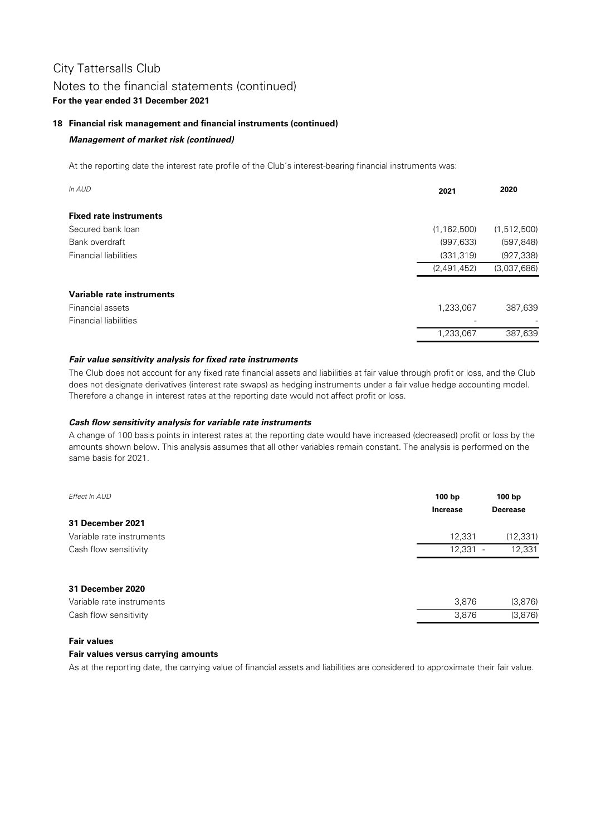### **18 Financial risk management and financial instruments (continued)**

### **Management of market risk (continued)**

At the reporting date the interest rate profile of the Club's interest-bearing financial instruments was:

| In AUD                        | 2021          | 2020                     |
|-------------------------------|---------------|--------------------------|
| <b>Fixed rate instruments</b> |               |                          |
| Secured bank loan             | (1, 162, 500) | (1,512,500)              |
| Bank overdraft                | (997, 633)    | (597, 848)               |
| <b>Financial liabilities</b>  | (331, 319)    | (927, 338)               |
|                               | (2,491,452)   | (3,037,686)              |
| Variable rate instruments     |               |                          |
| Financial assets              | 1,233,067     | 387,639                  |
| <b>Financial liabilities</b>  |               | $\overline{\phantom{0}}$ |
|                               | 1,233,067     | 387,639                  |

### **Fair value sensitivity analysis for fixed rate instruments**

The Club does not account for any fixed rate financial assets and liabilities at fair value through profit or loss, and the Club does not designate derivatives (interest rate swaps) as hedging instruments under a fair value hedge accounting model. Therefore a change in interest rates at the reporting date would not affect profit or loss.

### **Cash flow sensitivity analysis for variable rate instruments**

A change of 100 basis points in interest rates at the reporting date would have increased (decreased) profit or loss by the amounts shown below. This analysis assumes that all other variables remain constant. The analysis is performed on the same basis for 2021.

| Effect In AUD             | 100 <sub>bp</sub><br><b>Increase</b> | 100 bp<br><b>Decrease</b> |
|---------------------------|--------------------------------------|---------------------------|
| 31 December 2021          |                                      |                           |
| Variable rate instruments | 12,331                               | (12, 331)                 |
| Cash flow sensitivity     | $12,331 -$                           | 12,331                    |
| 31 December 2020          |                                      |                           |
| Variable rate instruments | 3,876                                | (3,876)                   |
| Cash flow sensitivity     | 3,876                                | (3,876)                   |

### **Fair values**

### **Fair values versus carrying amounts**

As at the reporting date, the carrying value of financial assets and liabilities are considered to approximate their fair value.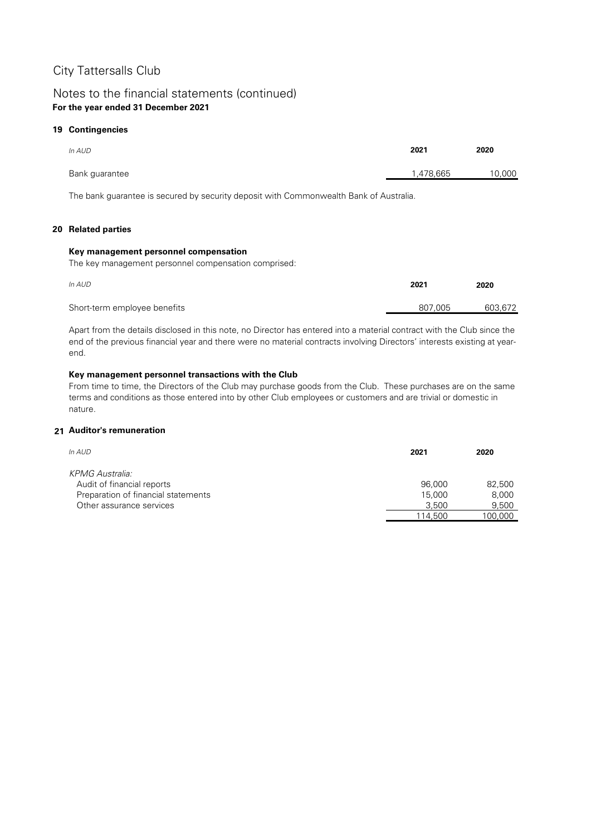### Notes to the financial statements (continued) **For the year ended 31 December 2021**

### **19 Contingencies**

| In AUD         | 2021      | 2020   |
|----------------|-----------|--------|
| Bank guarantee | 1,478,665 | 10,000 |

The bank guarantee is secured by security deposit with Commonwealth Bank of Australia.

### **20 Related parties**

### **Key management personnel compensation**

The key management personnel compensation comprised:

| In AUD                       | 2021    | 2020    |
|------------------------------|---------|---------|
| Short-term employee benefits | 807.005 | 603,672 |

Apart from the details disclosed in this note, no Director has entered into a material contract with the Club since the end of the previous financial year and there were no material contracts involving Directors' interests existing at yearend.

### **Key management personnel transactions with the Club**

From time to time, the Directors of the Club may purchase goods from the Club. These purchases are on the same terms and conditions as those entered into by other Club employees or customers and are trivial or domestic in nature.

### **21 Auditor's remuneration**

| In AUD                              | 2021    | 2020    |
|-------------------------------------|---------|---------|
| KPMG Australia:                     |         |         |
| Audit of financial reports          | 96,000  | 82,500  |
| Preparation of financial statements | 15,000  | 8,000   |
| Other assurance services            | 3.500   | 9,500   |
|                                     | 114.500 | 100,000 |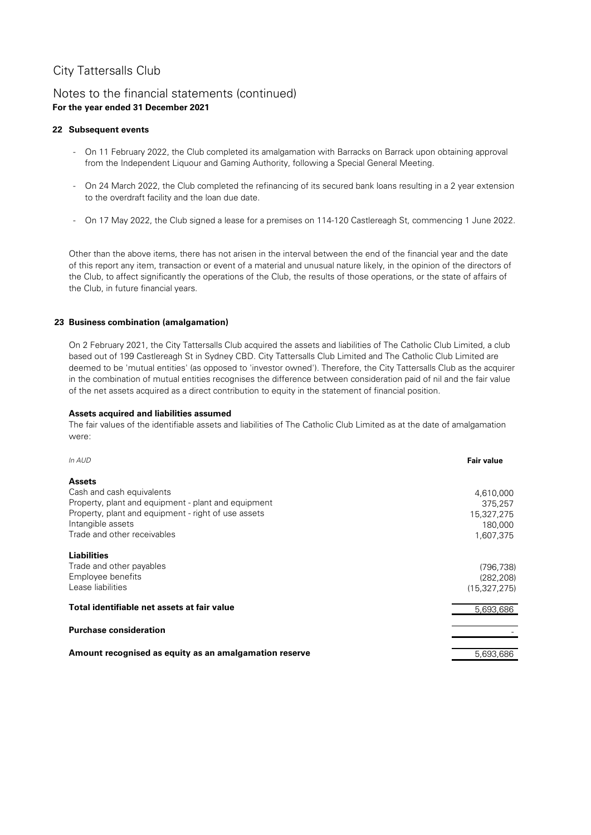### Notes to the financial statements (continued) **For the year ended 31 December 2021**

### **22 Subsequent events**

- On 11 February 2022, the Club completed its amalgamation with Barracks on Barrack upon obtaining approval from the Independent Liquour and Gaming Authority, following a Special General Meeting.
- On 24 March 2022, the Club completed the refinancing of its secured bank loans resulting in a 2 year extension to the overdraft facility and the loan due date.
- On 17 May 2022, the Club signed a lease for a premises on 114-120 Castlereagh St, commencing 1 June 2022.

Other than the above items, there has not arisen in the interval between the end of the financial year and the date of this report any item, transaction or event of a material and unusual nature likely, in the opinion of the directors of the Club, to affect significantly the operations of the Club, the results of those operations, or the state of affairs of the Club, in future financial years.

### **23 Business combination (amalgamation)**

On 2 February 2021, the City Tattersalls Club acquired the assets and liabilities of The Catholic Club Limited, a club based out of 199 Castlereagh St in Sydney CBD. City Tattersalls Club Limited and The Catholic Club Limited are deemed to be 'mutual entities' (as opposed to 'investor owned'). Therefore, the City Tattersalls Club as the acquirer in the combination of mutual entities recognises the difference between consideration paid of nil and the fair value of the net assets acquired as a direct contribution to equity in the statement of financial position.

### **Assets acquired and liabilities assumed**

The fair values of the identifiable assets and liabilities of The Catholic Club Limited as at the date of amalgamation were:

| <b>Fair value</b> |
|-------------------|
|                   |
| 4,610,000         |
| 375,257           |
| 15,327,275        |
| 180,000           |
| 1,607,375         |
|                   |
| (796, 738)        |
| (282, 208)        |
| (15, 327, 275)    |
| 5,693,686         |
|                   |
|                   |
| 5,693,686         |
|                   |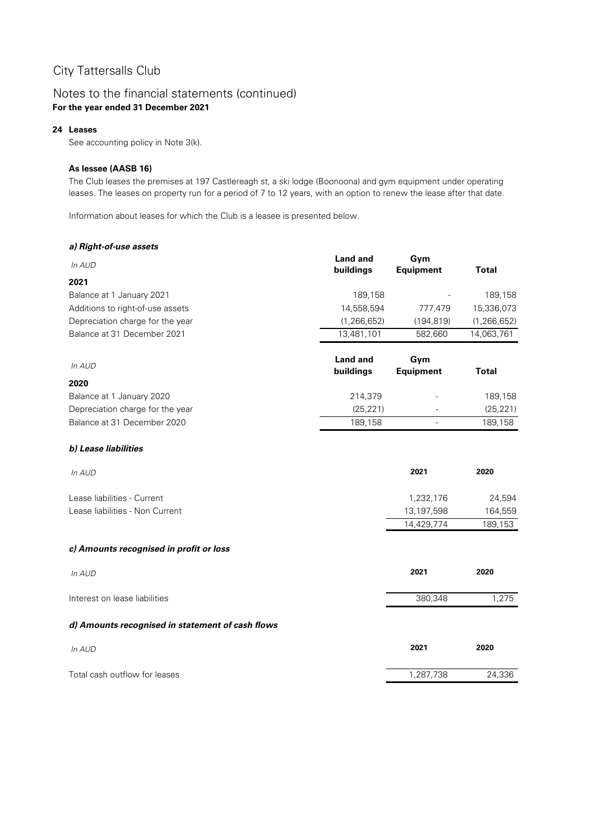### Notes to the financial statements (continued) **For the year ended 31 December 2021**

### **24 Leases**

See accounting policy in Note 3(k).

### **As lessee (AASB 16)**

The Club leases the premises at 197 Castlereagh st, a ski lodge (Boonoona) and gym equipment under operating leases. The leases on property run for a period of 7 to 12 years, with an option to renew the lease after that date.

Information about leases for which the Club is a leasee is presented below.

### **a) Right-of-use assets**

| 2021<br>189,158<br>189,158<br>Balance at 1 January 2021<br>14,558,594<br>15,336,073<br>Additions to right-of-use assets<br>777,479<br>Depreciation charge for the year<br>(1, 266, 652)<br>(1, 266, 652)<br>(194, 819)<br>13,481,101<br>Balance at 31 December 2021<br>582,660<br>14,063,761<br><b>Land and</b><br>Gym<br>In AUD<br><b>Equipment</b><br>buildings<br><b>Total</b><br>214,379<br>189,158<br>(25, 221)<br>(25, 221)<br>189,158<br>189,158<br>2021<br>2020<br>In AUD<br>1,232,176<br>24,594<br>13,197,598<br>164,559<br>14,429,774<br>189,153<br>2021<br>2020<br>In AUD<br>1,275<br>380,348<br>2021<br>2020<br>In AUD<br>1,287,738<br>24,336 | In AUD                                           | <b>Land and</b> | Gym              |              |
|-----------------------------------------------------------------------------------------------------------------------------------------------------------------------------------------------------------------------------------------------------------------------------------------------------------------------------------------------------------------------------------------------------------------------------------------------------------------------------------------------------------------------------------------------------------------------------------------------------------------------------------------------------------|--------------------------------------------------|-----------------|------------------|--------------|
|                                                                                                                                                                                                                                                                                                                                                                                                                                                                                                                                                                                                                                                           |                                                  | buildings       | <b>Equipment</b> | <b>Total</b> |
|                                                                                                                                                                                                                                                                                                                                                                                                                                                                                                                                                                                                                                                           |                                                  |                 |                  |              |
|                                                                                                                                                                                                                                                                                                                                                                                                                                                                                                                                                                                                                                                           |                                                  |                 |                  |              |
|                                                                                                                                                                                                                                                                                                                                                                                                                                                                                                                                                                                                                                                           |                                                  |                 |                  |              |
|                                                                                                                                                                                                                                                                                                                                                                                                                                                                                                                                                                                                                                                           |                                                  |                 |                  |              |
|                                                                                                                                                                                                                                                                                                                                                                                                                                                                                                                                                                                                                                                           |                                                  |                 |                  |              |
|                                                                                                                                                                                                                                                                                                                                                                                                                                                                                                                                                                                                                                                           |                                                  |                 |                  |              |
|                                                                                                                                                                                                                                                                                                                                                                                                                                                                                                                                                                                                                                                           |                                                  |                 |                  |              |
|                                                                                                                                                                                                                                                                                                                                                                                                                                                                                                                                                                                                                                                           | 2020                                             |                 |                  |              |
|                                                                                                                                                                                                                                                                                                                                                                                                                                                                                                                                                                                                                                                           | Balance at 1 January 2020                        |                 |                  |              |
|                                                                                                                                                                                                                                                                                                                                                                                                                                                                                                                                                                                                                                                           | Depreciation charge for the year                 |                 |                  |              |
|                                                                                                                                                                                                                                                                                                                                                                                                                                                                                                                                                                                                                                                           | Balance at 31 December 2020                      |                 |                  |              |
|                                                                                                                                                                                                                                                                                                                                                                                                                                                                                                                                                                                                                                                           | b) Lease liabilities                             |                 |                  |              |
|                                                                                                                                                                                                                                                                                                                                                                                                                                                                                                                                                                                                                                                           |                                                  |                 |                  |              |
|                                                                                                                                                                                                                                                                                                                                                                                                                                                                                                                                                                                                                                                           | Lease liabilities - Current                      |                 |                  |              |
|                                                                                                                                                                                                                                                                                                                                                                                                                                                                                                                                                                                                                                                           | Lease liabilities - Non Current                  |                 |                  |              |
|                                                                                                                                                                                                                                                                                                                                                                                                                                                                                                                                                                                                                                                           |                                                  |                 |                  |              |
|                                                                                                                                                                                                                                                                                                                                                                                                                                                                                                                                                                                                                                                           | c) Amounts recognised in profit or loss          |                 |                  |              |
|                                                                                                                                                                                                                                                                                                                                                                                                                                                                                                                                                                                                                                                           |                                                  |                 |                  |              |
|                                                                                                                                                                                                                                                                                                                                                                                                                                                                                                                                                                                                                                                           | Interest on lease liabilities                    |                 |                  |              |
|                                                                                                                                                                                                                                                                                                                                                                                                                                                                                                                                                                                                                                                           | d) Amounts recognised in statement of cash flows |                 |                  |              |
|                                                                                                                                                                                                                                                                                                                                                                                                                                                                                                                                                                                                                                                           |                                                  |                 |                  |              |
|                                                                                                                                                                                                                                                                                                                                                                                                                                                                                                                                                                                                                                                           | Total cash outflow for leases                    |                 |                  |              |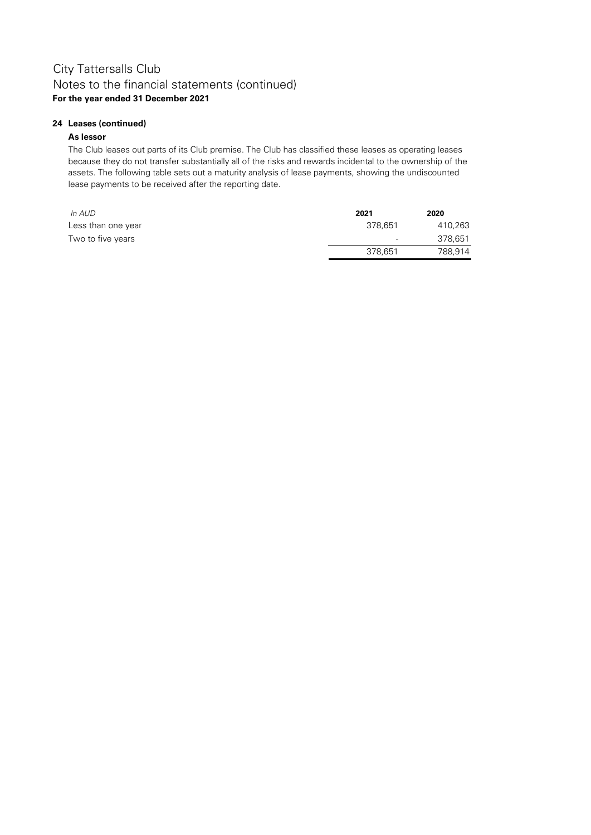### **24 Leases (continued)**

### **As lessor**

The Club leases out parts of its Club premise. The Club has classified these leases as operating leases because they do not transfer substantially all of the risks and rewards incidental to the ownership of the assets. The following table sets out a maturity analysis of lease payments, showing the undiscounted lease payments to be received after the reporting date.

| In AUD             | 2021                     | 2020    |
|--------------------|--------------------------|---------|
| Less than one year | 378.651                  | 410,263 |
| Two to five years  | $\overline{\phantom{0}}$ | 378.651 |
|                    | 378,651                  | 788,914 |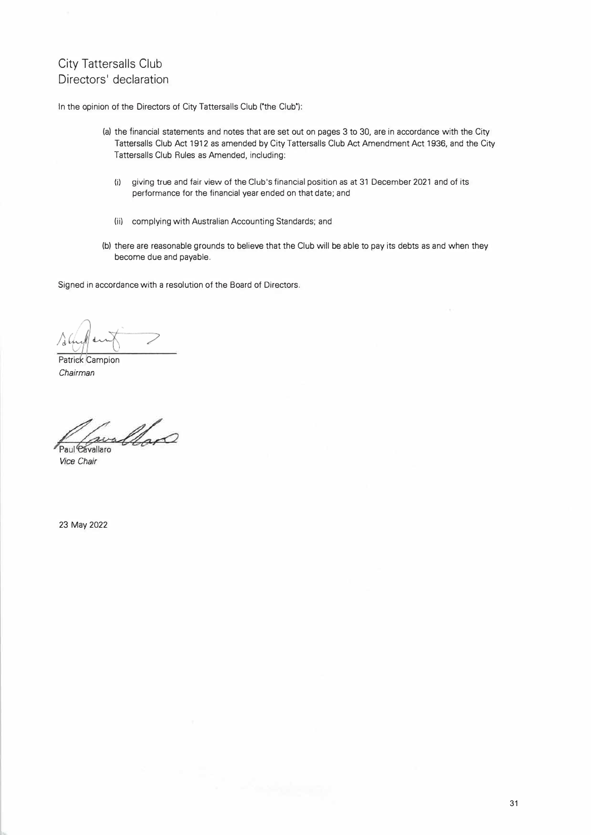### City Tattersalls Club Directors' declaration

In the opinion of the Directors of City Tattersalls Club ('the Club'):

- (a) the financial statements and notes that are set out on pages 3 to 30, are in accordance with the City Tattersalls Club Act 1912 as amended by City Tattersalls Club Act Amendment Act 1936, and the City Tattersalls Club Rules as Amended, including:
	- {i} giving true and fair view of the Club's financial position as at 31 December 2021 and of its performance for the financial year ended on that date; and
	- (ii) complying with Australian Accounting Standards; and
- (bl there are reasonable grounds to believe that the Club will be able to pay its debts as and when they become due and payable.

Signed in accordance with a resolution of the Board of Directors.

Patrick Campion *Chairman* 

willow Paul Cavallaro

*Vice Chair* 

23 May 2022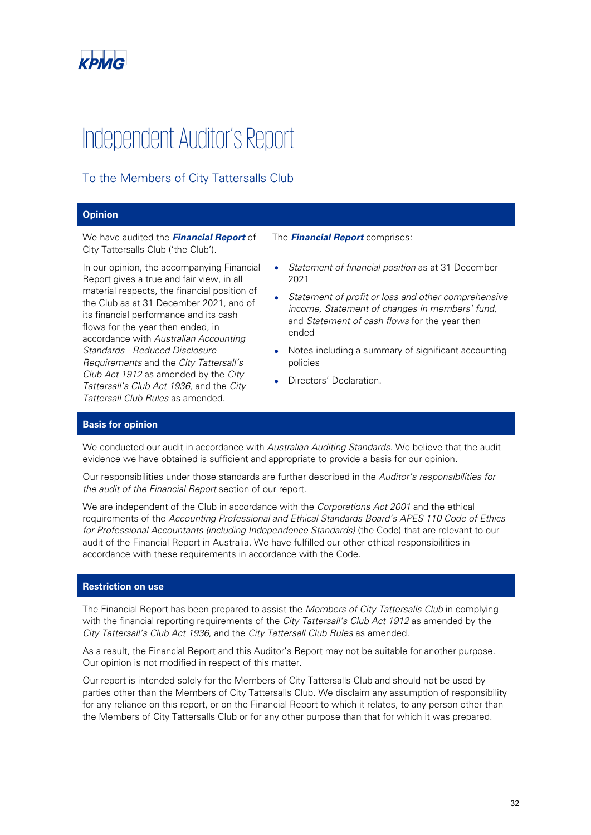

# Independent Auditor's Report

### To the Members of City Tattersalls Club

#### **Opinion**

We have audited the **Financial Report** of City Tattersalls Club ('the Club').

In our opinion, the accompanying Financial Report gives a true and fair view, in all material respects, the financial position of the Club as at 31 December 2021, and of its financial performance and its cash flows for the year then ended, in accordance with Australian Accounting Standards - Reduced Disclosure Requirements and the City Tattersall's Club Act 1912 as amended by the City Tattersall's Club Act 1936, and the City Tattersall Club Rules as amended.

The **Financial Report** comprises:

- Statement of financial position as at 31 December 2021
- Statement of profit or loss and other comprehensive income, Statement of changes in members' fund, and Statement of cash flows for the year then ended
- Notes including a summary of significant accounting policies
- Directors' Declaration.

#### **Basis for opinion**

We conducted our audit in accordance with Australian Auditing Standards. We believe that the audit evidence we have obtained is sufficient and appropriate to provide a basis for our opinion.

Our responsibilities under those standards are further described in the Auditor's responsibilities for the audit of the Financial Report section of our report.

We are independent of the Club in accordance with the Corporations Act 2001 and the ethical requirements of the Accounting Professional and Ethical Standards Board's APES 110 Code of Ethics for Professional Accountants (including Independence Standards) (the Code) that are relevant to our audit of the Financial Report in Australia. We have fulfilled our other ethical responsibilities in accordance with these requirements in accordance with the Code.

#### **Restriction on use**

The Financial Report has been prepared to assist the Members of City Tattersalls Club in complying with the financial reporting requirements of the City Tattersall's Club Act 1912 as amended by the City Tattersall's Club Act 1936, and the City Tattersall Club Rules as amended.

As a result, the Financial Report and this Auditor's Report may not be suitable for another purpose. Our opinion is not modified in respect of this matter.

Our report is intended solely for the Members of City Tattersalls Club and should not be used by parties other than the Members of City Tattersalls Club. We disclaim any assumption of responsibility for any reliance on this report, or on the Financial Report to which it relates, to any person other than the Members of City Tattersalls Club or for any other purpose than that for which it was prepared.